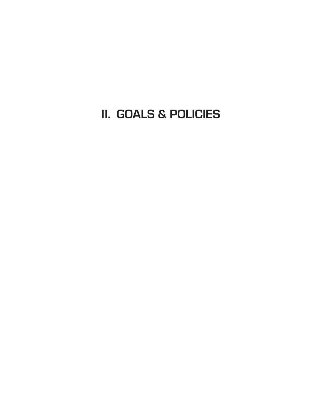**II. GOALS & POLICIES**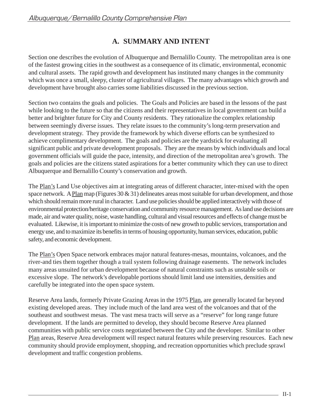# **A. SUMMARY AND INTENT**

Section one describes the evolution of Albuquerque and Bernalillo County. The metropolitan area is one of the fastest growing cities in the southwest as a consequence of its climatic, environmental, economic and cultural assets. The rapid growth and development has instituted many changes in the community which was once a small, sleepy, cluster of agricultural villages. The many advantages which growth and development have brought also carries some liabilities discussed in the previous section.

Section two contains the goals and policies. The Goals and Policies are based in the lessons of the past while looking to the future so that the citizens and their representatives in local government can build a better and brighter future for City and County residents. They rationalize the complex relationship between seemingly diverse issues. They relate issues to the community's long-term preservation and development strategy. They provide the framework by which diverse efforts can be synthesized to achieve complimentary development. The goals and policies are the yardstick for evaluating all significant public and private development proposals. They are the means by which individuals and local government officials will guide the pace, intensity, and direction of the metropolitan area's growth. The goals and policies are the citizens stated aspirations for a better community which they can use to direct Albuquerque and Bernalillo County's conservation and growth.

The Plan's Land Use objectives aim at integrating areas of different character, inter-mixed with the open space network. A Plan map (Figures 30  $\&$  31) delineates areas most suitable for urban development, and those which should remain more rural in character. Land use policies should be applied interactively with those of environmental protection/heritage conservation and community resource management. As land use decisions are made, air and water quality, noise, waste handling, cultural and visual resources and effects of change must be evaluated. Likewise, it is important to minimize the costs of new growth to public services, transportation and energy use, and to maximize its benefits in terms of housing opportunity, human services, education, public safety, and economic development.

The Plan's Open Space network embraces major natural features-mesas, mountains, volcanoes, and the river-and ties them together though a trail system following drainage easements. The network includes many areas unsuited for urban development because of natural constraints such as unstable soils or excessive slope. The network's developable portions should limit land use intensities, densities and carefully be integrated into the open space system.

Reserve Area lands, formerly Private Grazing Areas in the 1975 Plan, are generally located far beyond existing developed areas. They include much of the land area west of the volcanoes and that of the southeast and southwest mesas. The vast mesa tracts will serve as a "reserve" for long range future development. If the lands are permitted to develop, they should become Reserve Area planned communities with public service costs negotiated between the City and the developer. Similar to other Plan areas, Reserve Area development will respect natural features while preserving resources. Each new community should provide employment, shopping, and recreation opportunities which preclude sprawl development and traffic congestion problems.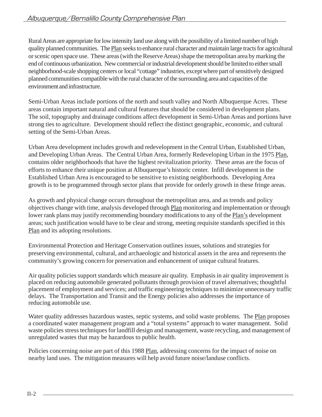Rural Areas are appropriate for low intensity land use along with the possibility of a limited number of high quality planned communities. The Plan seeks to enhance rural character and maintain large tracts for agricultural or scenic open space use. These areas (with the Reserve Areas) shape the metropolitan area by marking the end of continuous urbanization. New commercial or industrial development should be limited to either small neighborhood-scale shopping centers or local "cottage" industries, except where part of sensitively designed planned communities compatible with the rural character of the surrounding area and capacities of the environment and infrastructure.

Semi-Urban Areas include portions of the north and south valley and North Albuquerque Acres. These areas contain important natural and cultural features that should be considered in development plans. The soil, topography and drainage conditions affect development in Semi-Urban Areas and portions have strong ties to agriculture. Development should reflect the distinct geographic, economic, and cultural setting of the Semi-Urban Areas.

Urban Area development includes growth and redevelopment in the Central Urban, Established Urban, and Developing Urban Areas. The Central Urban Area, formerly Redeveloping Urban in the 1975 Plan, contains older neighborhoods that have the highest revitalization priority. These areas are the focus of efforts to enhance their unique position at Albuquerque's historic center. Infill development in the Established Urban Area is encouraged to be sensitive to existing neighborhoods. Developing Area growth is to be programmed through sector plans that provide for orderly growth in these fringe areas.

As growth and physical change occurs throughout the metropolitan area, and as trends and policy objectives change with time, analysis developed through Plan monitoring and implementation or through lower rank plans may justify recommending boundary modifications to any of the Plan's development areas; such justification would have to be clear and strong, meeting requisite standards specified in this Plan and its adopting resolutions.

Environmental Protection and Heritage Conservation outlines issues, solutions and strategies for preserving environmental, cultural, and archaeologic and historical assets in the area and represents the community's growing concern for preservation and enhancement of unique cultural features.

Air quality policies support standards which measure air quality. Emphasis in air quality improvement is placed on reducing automobile generated pollutants through provision of travel alternatives; thoughtful placement of employment and services; and traffic engineering techniques to minimize unnecessary traffic delays. The Transportation and Transit and the Energy policies also addresses the importance of reducing automobile use.

Water quality addresses hazardous wastes, septic systems, and solid waste problems. The Plan proposes a coordinated water management program and a "total systems" approach to water management. Solid waste policies stress techniques for landfill design and management, waste recycling, and management of unregulated wastes that may be hazardous to public health.

Policies concerning noise are part of this 1988 Plan, addressing concerns for the impact of noise on nearby land uses. The mitigation measures will help avoid future noise/landuse conflicts.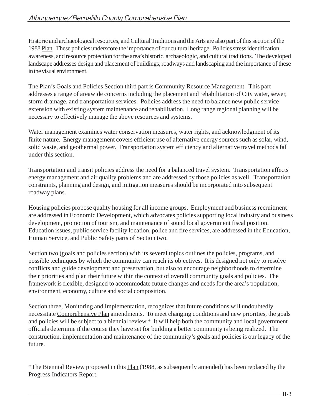Historic and archaeological resources, and Cultural Traditions and the Arts are also part of this section of the 1988 Plan. These policies underscore the importance of our cultural heritage. Policies stress identification, awareness, and resource protection for the area's historic, archaeologic, and cultural traditions. The developed landscape addresses design and placement of buildings, roadways and landscaping and the importance of these in the visual environment.

The Plan's Goals and Policies Section third part is Community Resource Management. This part addresses a range of areawide concerns including the placement and rehabilitation of City water, sewer, storm drainage, and transportation services. Policies address the need to balance new public service extension with existing system maintenance and rehabilitation. Long range regional planning will be necessary to effectively manage the above resources and systems.

Water management examines water conservation measures, water rights, and acknowledgment of its finite nature. Energy management covers efficient use of alternative energy sources such as solar, wind, solid waste, and geothermal power. Transportation system efficiency and alternative travel methods fall under this section.

Transportation and transit policies address the need for a balanced travel system. Transportation affects energy management and air quality problems and are addressed by those policies as well. Transportation constraints, planning and design, and mitigation measures should be incorporated into subsequent roadway plans.

Housing policies propose quality housing for all income groups. Employment and business recruitment are addressed in Economic Development, which advocates policies supporting local industry and business development, promotion of tourism, and maintenance of sound local government fiscal position. Education issues, public service facility location, police and fire services, are addressed in the Education, Human Service, and Public Safety parts of Section two.

Section two (goals and policies section) with its several topics outlines the policies, programs, and possible techniques by which the community can reach its objectives. It is designed not only to resolve conflicts and guide development and preservation, but also to encourage neighborhoods to determine their priorities and plan their future within the context of overall community goals and policies. The framework is flexible, designed to accommodate future changes and needs for the area's population, environment, economy, culture and social composition.

Section three, Monitoring and Implementation, recognizes that future conditions will undoubtedly necessitate Comprehensive Plan amendments. To meet changing conditions and new priorities, the goals and policies will be subject to a biennial review.\* It will help both the community and local government officials determine if the course they have set for building a better community is being realized. The construction, implementation and maintenance of the community's goals and policies is our legacy of the future.

\*The Biennial Review proposed in this Plan (1988, as subsequently amended) has been replaced by the Progress Indicators Report.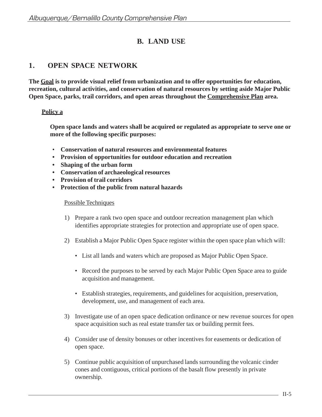# **B. LAND USE**

# **1. OPEN SPACE NETWORK**

**The Goal is to provide visual relief from urbanization and to offer opportunities for education, recreation, cultural activities, and conservation of natural resources by setting aside Major Public Open Space, parks, trail corridors, and open areas throughout the Comprehensive Plan area.**

# **Policy a**

**Open space lands and waters shall be acquired or regulated as appropriate to serve one or more of the following specific purposes:**

- **Conservation of natural resources and environmental features**
- **Provision of opportunities for outdoor education and recreation**
- **Shaping of the urban form**
- **Conservation of archaeological resources**
- **Provision of trail corridors**
- **Protection of the public from natural hazards**

- 1) Prepare a rank two open space and outdoor recreation management plan which identifies appropriate strategies for protection and appropriate use of open space.
- 2) Establish a Major Public Open Space register within the open space plan which will:
	- List all lands and waters which are proposed as Major Public Open Space.
	- Record the purposes to be served by each Major Public Open Space area to guide acquisition and management.
	- Establish strategies, requirements, and guidelines for acquisition, preservation, development, use, and management of each area.
- 3) Investigate use of an open space dedication ordinance or new revenue sources for open space acquisition such as real estate transfer tax or building permit fees.
- 4) Consider use of density bonuses or other incentives for easements or dedication of open space.
- 5) Continue public acquisition of unpurchased lands surrounding the volcanic cinder cones and contiguous, critical portions of the basalt flow presently in private ownership.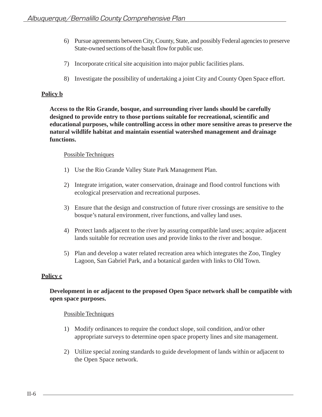- 6) Pursue agreements between City, County, State, and possibly Federal agencies to preserve State-owned sections of the basalt flow for public use.
- 7) Incorporate critical site acquisition into major public facilities plans.
- 8) Investigate the possibility of undertaking a joint City and County Open Space effort.

# **Policy b**

**Access to the Rio Grande, bosque, and surrounding river lands should be carefully designed to provide entry to those portions suitable for recreational, scientific and educational purposes, while controlling access in other more sensitive areas to preserve the natural wildlife habitat and maintain essential watershed management and drainage functions.**

## Possible Techniques

- 1) Use the Rio Grande Valley State Park Management Plan.
- 2) Integrate irrigation, water conservation, drainage and flood control functions with ecological preservation and recreational purposes.
- 3) Ensure that the design and construction of future river crossings are sensitive to the bosque's natural environment, river functions, and valley land uses.
- 4) Protect lands adjacent to the river by assuring compatible land uses; acquire adjacent lands suitable for recreation uses and provide links to the river and bosque.
- 5) Plan and develop a water related recreation area which integrates the Zoo, Tingley Lagoon, San Gabriel Park, and a botanical garden with links to Old Town.

# **Policy c**

# **Development in or adjacent to the proposed Open Space network shall be compatible with open space purposes.**

- 1) Modify ordinances to require the conduct slope, soil condition, and/or other appropriate surveys to determine open space property lines and site management.
- 2) Utilize special zoning standards to guide development of lands within or adjacent to the Open Space network.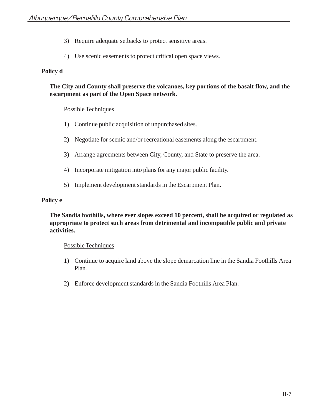- 3) Require adequate setbacks to protect sensitive areas.
- 4) Use scenic easements to protect critical open space views.

# **Policy d**

# **The City and County shall preserve the volcanoes, key portions of the basalt flow, and the escarpment as part of the Open Space network.**

# Possible Techniques

- 1) Continue public acquisition of unpurchased sites.
- 2) Negotiate for scenic and/or recreational easements along the escarpment.
- 3) Arrange agreements between City, County, and State to preserve the area.
- 4) Incorporate mitigation into plans for any major public facility.
- 5) Implement development standards in the Escarpment Plan.

# **Policy e**

**The Sandia foothills, where ever slopes exceed 10 percent, shall be acquired or regulated as appropriate to protect such areas from detrimental and incompatible public and private activities.**

- 1) Continue to acquire land above the slope demarcation line in the Sandia Foothills Area Plan.
- 2) Enforce development standards in the Sandia Foothills Area Plan.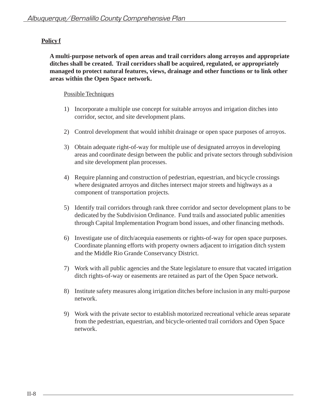# **Policy f**

**A multi-purpose network of open areas and trail corridors along arroyos and appropriate ditches shall be created. Trail corridors shall be acquired, regulated, or appropriately managed to protect natural features, views, drainage and other functions or to link other areas within the Open Space network.**

- 1) Incorporate a multiple use concept for suitable arroyos and irrigation ditches into corridor, sector, and site development plans.
- 2) Control development that would inhibit drainage or open space purposes of arroyos.
- 3) Obtain adequate right-of-way for multiple use of designated arroyos in developing areas and coordinate design between the public and private sectors through subdivision and site development plan processes.
- 4) Require planning and construction of pedestrian, equestrian, and bicycle crossings where designated arroyos and ditches intersect major streets and highways as a component of transportation projects.
- 5) Identify trail corridors through rank three corridor and sector development plans to be dedicated by the Subdivision Ordinance. Fund trails and associated public amenities through Capital Implementation Program bond issues, and other financing methods.
- 6) Investigate use of ditch/acequia easements or rights-of-way for open space purposes. Coordinate planning efforts with property owners adjacent to irrigation ditch system and the Middle Rio Grande Conservancy District.
- 7) Work with all public agencies and the State legislature to ensure that vacated irrigation ditch rights-of-way or easements are retained as part of the Open Space network.
- 8) Institute safety measures along irrigation ditches before inclusion in any multi-purpose network.
- 9) Work with the private sector to establish motorized recreational vehicle areas separate from the pedestrian, equestrian, and bicycle-oriented trail corridors and Open Space network.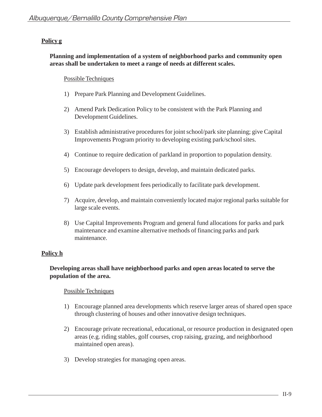# **Policy g**

# **Planning and implementation of a system of neighborhood parks and community open areas shall be undertaken to meet a range of needs at different scales.**

# Possible Techniques

- 1) Prepare Park Planning and Development Guidelines.
- 2) Amend Park Dedication Policy to be consistent with the Park Planning and Development Guidelines.
- 3) Establish administrative procedures for joint school/park site planning; give Capital Improvements Program priority to developing existing park/school sites.
- 4) Continue to require dedication of parkland in proportion to population density.
- 5) Encourage developers to design, develop, and maintain dedicated parks.
- 6) Update park development fees periodically to facilitate park development.
- 7) Acquire, develop, and maintain conveniently located major regional parks suitable for large scale events.
- 8) Use Capital Improvements Program and general fund allocations for parks and park maintenance and examine alternative methods of financing parks and park maintenance.

# **Policy h**

# **Developing areas shall have neighborhood parks and open areas located to serve the population of the area.**

- 1) Encourage planned area developments which reserve larger areas of shared open space through clustering of houses and other innovative design techniques.
- 2) Encourage private recreational, educational, or resource production in designated open areas (e.g. riding stables, golf courses, crop raising, grazing, and neighborhood maintained open areas).
- 3) Develop strategies for managing open areas.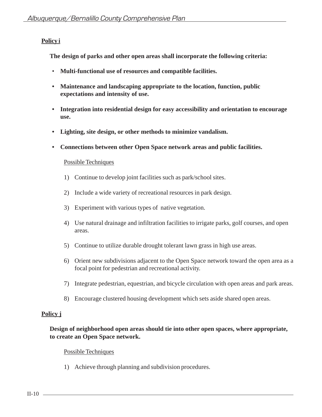# **Policy i**

**The design of parks and other open areas shall incorporate the following criteria:**

- **Multi-functional use of resources and compatible facilities.**
- **Maintenance and landscaping appropriate to the location, function, public expectations and intensity of use.**
- **Integration into residential design for easy accessibility and orientation to encourage use.**
- **Lighting, site design, or other methods to minimize vandalism.**
- **Connections between other Open Space network areas and public facilities.**

# Possible Techniques

- 1) Continue to develop joint facilities such as park/school sites.
- 2) Include a wide variety of recreational resources in park design.
- 3) Experiment with various types of native vegetation.
- 4) Use natural drainage and infiltration facilities to irrigate parks, golf courses, and open areas.
- 5) Continue to utilize durable drought tolerant lawn grass in high use areas.
- 6) Orient new subdivisions adjacent to the Open Space network toward the open area as a focal point for pedestrian and recreational activity.
- 7) Integrate pedestrian, equestrian, and bicycle circulation with open areas and park areas.
- 8) Encourage clustered housing development which sets aside shared open areas.

# **Policy j**

# **Design of neighborhood open areas should tie into other open spaces, where appropriate, to create an Open Space network.**

# Possible Techniques

1) Achieve through planning and subdivision procedures.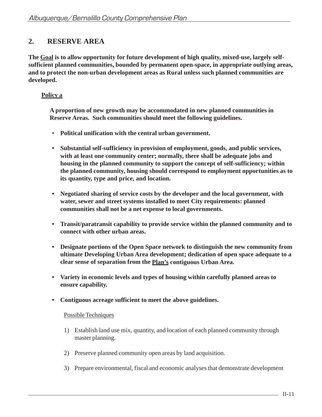# **2. RESERVE AREA**

**The Goal is to allow opportunity for future development of high quality, mixed-use, largely selfsufficient planned communities, bounded by permanent open-space, in appropriate outlying areas, and to protect the non-urban development areas as Rural unless such planned communities are developed.**

# **Policy a**

**A proportion of new growth may be accommodated in new planned communities in Reserve Areas. Such communities should meet the following guidelines.**

- **Political unification with the central urban government.**
- **Substantial self-sufficiency in provision of employment, goods, and public services, with at least one community center; normally, there shall be adequate jobs and housing in the planned community to support the concept of self-sufficiency; within the planned community, housing should correspond to employment opportunities as to its quantity, type and price, and location.**
- **Negotiated sharing of service costs by the developer and the local government, with water, sewer and street systems installed to meet City requirements: planned communities shall not be a net expense to local governments.**
- **Transit/paratransit capability to provide service within the planned community and to connect with other urban areas.**
- **Designate portions of the Open Space network to distinguish the new community from ultimate Developing Urban Area development; dedication of open space adequate to a clear sense of separation from the Plan's contiguous Urban Area.**
- **Variety in economic levels and types of housing within carefully planned areas to ensure capability.**
- **Contiguous acreage sufficient to meet the above guidelines.**

- 1) Establish land use mix, quantity, and location of each planned community through master planning.
- 2) Preserve planned community open areas by land acquisition.
- 3) Prepare environmental, fiscal and economic analyses that demonstrate development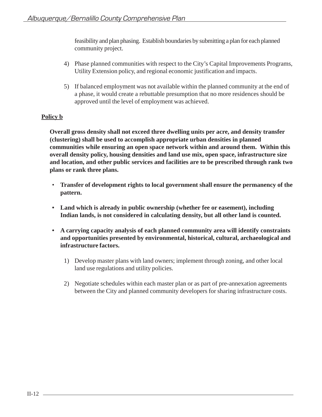feasibility and plan phasing. Establish boundaries by submitting a plan for each planned community project.

- 4) Phase planned communities with respect to the City's Capital Improvements Programs, Utility Extension policy, and regional economic justification and impacts.
- 5) If balanced employment was not available within the planned community at the end of a phase, it would create a rebuttable presumption that no more residences should be approved until the level of employment was achieved.

# **Policy b**

**Overall gross density shall not exceed three dwelling units per acre, and density transfer (clustering) shall be used to accomplish appropriate urban densities in planned communities while ensuring an open space network within and around them. Within this overall density policy, housing densities and land use mix, open space, infrastructure size and location, and other public services and facilities are to be prescribed through rank two plans or rank three plans.**

- **Transfer of development rights to local government shall ensure the permanency of the pattern.**
- **Land which is already in public ownership (whether fee or easement), including Indian lands, is not considered in calculating density, but all other land is counted.**
- **A carrying capacity analysis of each planned community area will identify constraints and opportunities presented by environmental, historical, cultural, archaeological and infrastructure factors.**
	- 1) Develop master plans with land owners; implement through zoning, and other local land use regulations and utility policies.
	- 2) Negotiate schedules within each master plan or as part of pre-annexation agreements between the City and planned community developers for sharing infrastructure costs.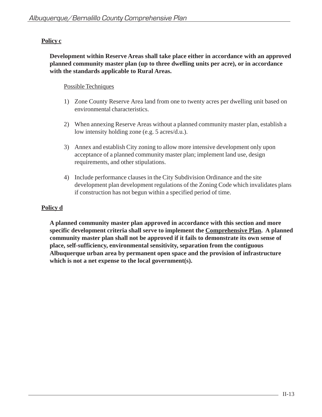# **Policy c**

**Development within Reserve Areas shall take place either in accordance with an approved planned community master plan (up to three dwelling units per acre), or in accordance with the standards applicable to Rural Areas.**

# Possible Techniques

- 1) Zone County Reserve Area land from one to twenty acres per dwelling unit based on environmental characteristics.
- 2) When annexing Reserve Areas without a planned community master plan, establish a low intensity holding zone (e.g. 5 acres/d.u.).
- 3) Annex and establish City zoning to allow more intensive development only upon acceptance of a planned community master plan; implement land use, design requirements, and other stipulations.
- 4) Include performance clauses in the City Subdivision Ordinance and the site development plan development regulations of the Zoning Code which invalidates plans if construction has not begun within a specified period of time.

# **Policy d**

**A planned community master plan approved in accordance with this section and more specific development criteria shall serve to implement the Comprehensive Plan. A planned community master plan shall not be approved if it fails to demonstrate its own sense of place, self-sufficiency, environmental sensitivity, separation from the contiguous Albuquerque urban area by permanent open space and the provision of infrastructure which is not a net expense to the local government(s).**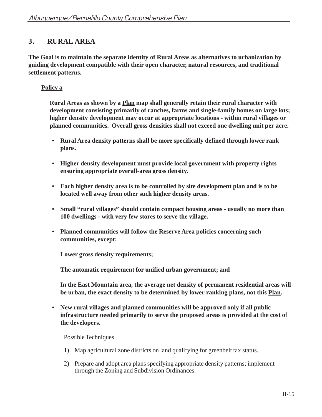# **3. RURAL AREA**

**The Goal is to maintain the separate identity of Rural Areas as alternatives to urbanization by guiding development compatible with their open character, natural resources, and traditional settlement patterns.**

# **Policy a**

**Rural Areas as shown by a Plan map shall generally retain their rural character with development consisting primarily of ranches, farms and single-family homes on large lots; higher density development may occur at appropriate locations - within rural villages or planned communities. Overall gross densities shall not exceed one dwelling unit per acre.**

- **Rural Area density patterns shall be more specifically defined through lower rank plans.**
- **Higher density development must provide local government with property rights ensuring appropriate overall-area gross density.**
- **Each higher density area is to be controlled by site development plan and is to be located well away from other such higher density areas.**
- **Small "rural villages" should contain compact housing areas usually no more than 100 dwellings - with very few stores to serve the village.**
- **Planned communities will follow the Reserve Area policies concerning such communities, except:**

**Lower gross density requirements;**

**The automatic requirement for unified urban government; and**

**In the East Mountain area, the average net density of permanent residential areas will be urban, the exact density to be determined by lower ranking plans, not this Plan.**

**• New rural villages and planned communities will be approved only if all public infrastructure needed primarily to serve the proposed areas is provided at the cost of the developers.**

- 1) Map agricultural zone districts on land qualifying for greenbelt tax status.
- 2) Prepare and adopt area plans specifying appropriate density patterns; implement through the Zoning and Subdivision Ordinances.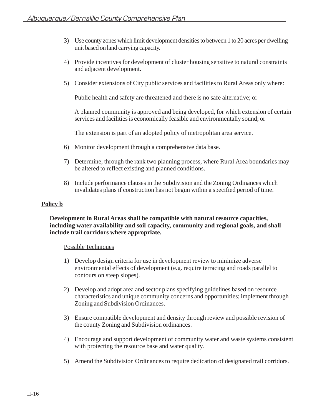- 3) Use county zones which limit development densities to between 1 to 20 acres per dwelling unit based on land carrying capacity.
- 4) Provide incentives for development of cluster housing sensitive to natural constraints and adjacent development.
- 5) Consider extensions of City public services and facilities to Rural Areas only where:

Public health and safety are threatened and there is no safe alternative; or

A planned community is approved and being developed, for which extension of certain services and facilities is economically feasible and environmentally sound; or

The extension is part of an adopted policy of metropolitan area service.

- 6) Monitor development through a comprehensive data base.
- 7) Determine, through the rank two planning process, where Rural Area boundaries may be altered to reflect existing and planned conditions.
- 8) Include performance clauses in the Subdivision and the Zoning Ordinances which invalidates plans if construction has not begun within a specified period of time.

# **Policy b**

**Development in Rural Areas shall be compatible with natural resource capacities, including water availability and soil capacity, community and regional goals, and shall include trail corridors where appropriate.**

- 1) Develop design criteria for use in development review to minimize adverse environmental effects of development (e.g. require terracing and roads parallel to contours on steep slopes).
- 2) Develop and adopt area and sector plans specifying guidelines based on resource characteristics and unique community concerns and opportunities; implement through Zoning and Subdivision Ordinances.
- 3) Ensure compatible development and density through review and possible revision of the county Zoning and Subdivision ordinances.
- 4) Encourage and support development of community water and waste systems consistent with protecting the resource base and water quality.
- 5) Amend the Subdivision Ordinances to require dedication of designated trail corridors.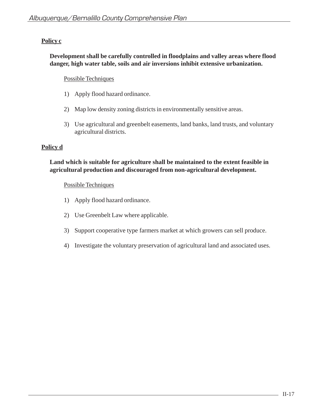# **Policy c**

# **Development shall be carefully controlled in floodplains and valley areas where flood danger, high water table, soils and air inversions inhibit extensive urbanization.**

# Possible Techniques

- 1) Apply flood hazard ordinance.
- 2) Map low density zoning districts in environmentally sensitive areas.
- 3) Use agricultural and greenbelt easements, land banks, land trusts, and voluntary agricultural districts.

# **Policy d**

# **Land which is suitable for agriculture shall be maintained to the extent feasible in agricultural production and discouraged from non-agricultural development.**

- 1) Apply flood hazard ordinance.
- 2) Use Greenbelt Law where applicable.
- 3) Support cooperative type farmers market at which growers can sell produce.
- 4) Investigate the voluntary preservation of agricultural land and associated uses.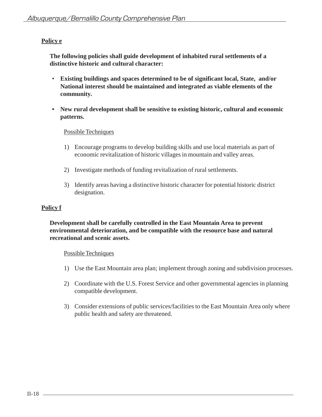# **Policy e**

**The following policies shall guide development of inhabited rural settlements of a distinctive historic and cultural character:**

- **Existing buildings and spaces determined to be of significant local, State, and/or National interest should be maintained and integrated as viable elements of the community.**
- **New rural development shall be sensitive to existing historic, cultural and economic patterns.**

# Possible Techniques

- 1) Encourage programs to develop building skills and use local materials as part of economic revitalization of historic villages in mountain and valley areas.
- 2) Investigate methods of funding revitalization of rural settlements.
- 3) Identify areas having a distinctive historic character for potential historic district designation.

# **Policy f**

**Development shall be carefully controlled in the East Mountain Area to prevent environmental deterioration, and be compatible with the resource base and natural recreational and scenic assets.**

- 1) Use the East Mountain area plan; implement through zoning and subdivision processes.
- 2) Coordinate with the U.S. Forest Service and other governmental agencies in planning compatible development.
- 3) Consider extensions of public services/facilities to the East Mountain Area only where public health and safety are threatened.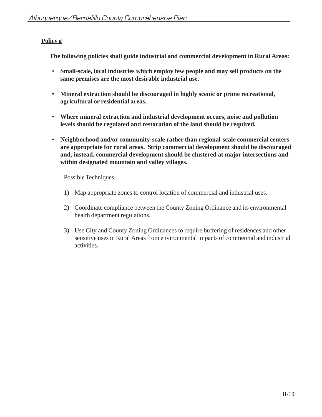# **Policy g**

**The following policies shall guide industrial and commercial development in Rural Areas:**

- **Small-scale, local industries which employ few people and may sell products on the same premises are the most desirable industrial use.**
- **Mineral extraction should be discouraged in highly scenic or prime recreational, agricultural or residential areas.**
- **Where mineral extraction and industrial development occurs, noise and pollution levels should be regulated and restoration of the land should be required.**
- **Neighborhood and/or community-scale rather than regional-scale commercial centers are appropriate for rural areas. Strip commercial development should be discouraged and, instead, commercial development should be clustered at major intersections and within designated mountain and valley villages.**

- 1) Map appropriate zones to control location of commercial and industrial uses.
- 2) Coordinate compliance between the County Zoning Ordinance and its environmental health department regulations.
- 3) Use City and County Zoning Ordinances to require buffering of residences and other sensitive uses in Rural Areas from environmental impacts of commercial and industrial activities.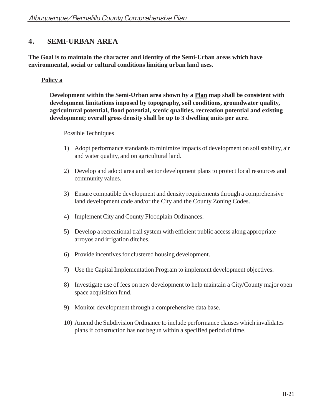# **4. SEMI-URBAN AREA**

**The Goal is to maintain the character and identity of the Semi-Urban areas which have environmental, social or cultural conditions limiting urban land uses.**

# **Policy a**

**Development within the Semi-Urban area shown by a Plan map shall be consistent with development limitations imposed by topography, soil conditions, groundwater quality, agricultural potential, flood potential, scenic qualities, recreation potential and existing development; overall gross density shall be up to 3 dwelling units per acre.**

- 1) Adopt performance standards to minimize impacts of development on soil stability, air and water quality, and on agricultural land.
- 2) Develop and adopt area and sector development plans to protect local resources and community values.
- 3) Ensure compatible development and density requirements through a comprehensive land development code and/or the City and the County Zoning Codes.
- 4) Implement City and County Floodplain Ordinances.
- 5) Develop a recreational trail system with efficient public access along appropriate arroyos and irrigation ditches.
- 6) Provide incentives for clustered housing development.
- 7) Use the Capital Implementation Program to implement development objectives.
- 8) Investigate use of fees on new development to help maintain a City/County major open space acquisition fund.
- 9) Monitor development through a comprehensive data base.
- 10) Amend the Subdivision Ordinance to include performance clauses which invalidates plans if construction has not begun within a specified period of time.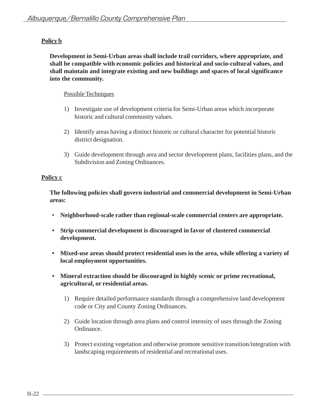# **Policy b**

**Development in Semi-Urban areas shall include trail corridors, where appropriate, and shall be compatible with economic policies and historical and socio-cultural values, and shall maintain and integrate existing and new buildings and spaces of local significance into the community.**

# Possible Techniques

- 1) Investigate use of development criteria for Semi-Urban areas which incorporate historic and cultural community values.
- 2) Identify areas having a distinct historic or cultural character for potential historic district designation.
- 3) Guide development through area and sector development plans, facilities plans, and the Subdivision and Zoning Ordinances.

# **Policy c**

**The following policies shall govern industrial and commercial development in Semi-Urban areas:**

- **Neighborhood-scale rather than regional-scale commercial centers are appropriate.**
- **Strip commercial development is discouraged in favor of clustered commercial development.**
- **Mixed-use areas should protect residential uses in the area, while offering a variety of local employment opportunities.**
- **Mineral extraction should be discouraged in highly scenic or prime recreational, agricultural, or residential areas.**
	- 1) Require detailed performance standards through a comprehensive land development code or City and County Zoning Ordinances.
	- 2) Guide location through area plans and control intensity of uses through the Zoning Ordinance.
	- 3) Protect existing vegetation and otherwise promote sensitive transition/integration with landscaping requirements of residential and recreational uses.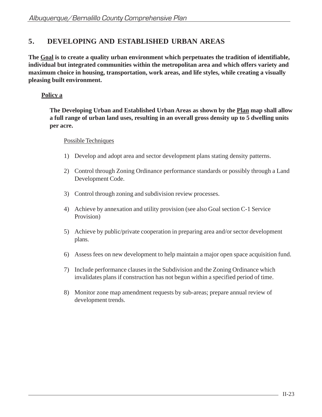# **5. DEVELOPING AND ESTABLISHED URBAN AREAS**

**The Goal is to create a quality urban environment which perpetuates the tradition of identifiable, individual but integrated communities within the metropolitan area and which offers variety and maximum choice in housing, transportation, work areas, and life styles, while creating a visually pleasing built environment.**

# **Policy a**

**The Developing Urban and Established Urban Areas as shown by the Plan map shall allow a full range of urban land uses, resulting in an overall gross density up to 5 dwelling units per acre.**

- 1) Develop and adopt area and sector development plans stating density patterns.
- 2) Control through Zoning Ordinance performance standards or possibly through a Land Development Code.
- 3) Control through zoning and subdivision review processes.
- 4) Achieve by annexation and utility provision (see also Goal section C-1 Service Provision)
- 5) Achieve by public/private cooperation in preparing area and/or sector development plans.
- 6) Assess fees on new development to help maintain a major open space acquisition fund.
- 7) Include performance clauses in the Subdivision and the Zoning Ordinance which invalidates plans if construction has not begun within a specified period of time.
- 8) Monitor zone map amendment requests by sub-areas; prepare annual review of development trends.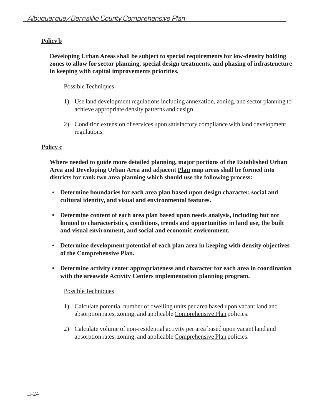# **Policy b**

**Developing Urban Areas shall be subject to special requirements for low-density holding zones to allow for sector planning, special design treatments, and phasing of infrastructure in keeping with capital improvements priorities.**

# Possible Techniques

- 1) Use land development regulations including annexation, zoning, and sector planning to achieve appropriate density patterns and design.
- 2) Condition extension of services upon satisfactory compliance with land development regulations.

# **Policy c**

**Where needed to guide more detailed planning, major portions of the Established Urban Area and Developing Urban Area and adjacent Plan map areas shall be formed into districts for rank two area planning which should use the following process:**

- **Determine boundaries for each area plan based upon design character, social and cultural identity, and visual and environmental features.**
- **Determine content of each area plan based upon needs analysis, including but not limited to characteristics, conditions, trends and opportunities in land use, the built and visual environment, and social and economic environment.**
- **Determine development potential of each plan area in keeping with density objectives of the Comprehensive Plan.**
- **Determine activity center appropriateness and character for each area in coordination with the areawide Activity Centers implementation planning program.**

- 1) Calculate potential number of dwelling units per area based upon vacant land and absorption rates, zoning, and applicable Comprehensive Plan policies.
- 2) Calculate volume of non-residential activity per area based upon vacant land and absorption rates, zoning, and applicable Comprehensive Plan policies.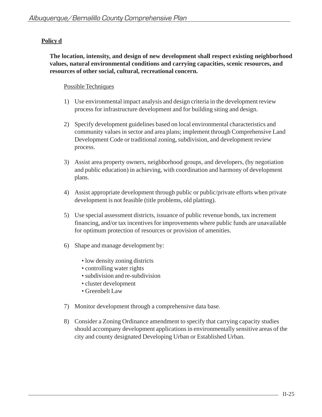# **Policy d**

**The location, intensity, and design of new development shall respect existing neighborhood values, natural environmental conditions and carrying capacities, scenic resources, and resources of other social, cultural, recreational concern.**

- 1) Use environmental impact analysis and design criteria in the development review process for infrastructure development and for building siting and design.
- 2) Specify development guidelines based on local environmental characteristics and community values in sector and area plans; implement through Comprehensive Land Development Code or traditional zoning, subdivision, and development review process.
- 3) Assist area property owners, neighborhood groups, and developers, (by negotiation and public education) in achieving, with coordination and harmony of development plans.
- 4) Assist appropriate development through public or public/private efforts when private development is not feasible (title problems, old platting).
- 5) Use special assessment districts, issuance of public revenue bonds, tax increment financing, and/or tax incentives for improvements where public funds are unavailable for optimum protection of resources or provision of amenities.
- 6) Shape and manage development by:
	- low density zoning districts
	- controlling water rights
	- subdivision and re-subdivision
	- cluster development
	- Greenbelt Law
- 7) Monitor development through a comprehensive data base.
- 8) Consider a Zoning Ordinance amendment to specify that carrying capacity studies should accompany development applications in environmentally sensitive areas of the city and county designated Developing Urban or Established Urban.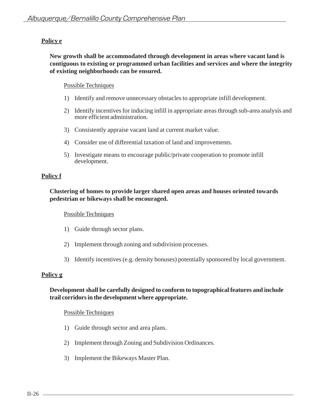# **Policy e**

# **New growth shall be accommodated through development in areas where vacant land is contiguous to existing or programmed urban facilities and services and where the integrity of existing neighborhoods can be ensured.**

## Possible Techniques

- 1) Identify and remove unnecessary obstacles to appropriate infill development.
- 2) Identify incentives for inducing infill in appropriate areas through sub-area analysis and more efficient administration.
- 3) Consistently appraise vacant land at current market value.
- 4) Consider use of differential taxation of land and improvements.
- 5) Investigate means to encourage public/private cooperation to promote infill development.

# **Policy f**

# **Clustering of homes to provide larger shared open areas and houses oriented towards pedestrian or bikeways shall be encouraged.**

#### Possible Techniques

- 1) Guide through sector plans.
- 2) Implement through zoning and subdivision processes.
- 3) Identify incentives (e.g. density bonuses) potentially sponsored by local government.

# **Policy g**

## **Development shall be carefully designed to conform to topographical features and include trail corridors in the development where appropriate.**

- 1) Guide through sector and area plans.
- 2) Implement through Zoning and Subdivision Ordinances.
- 3) Implement the Bikeways Master Plan.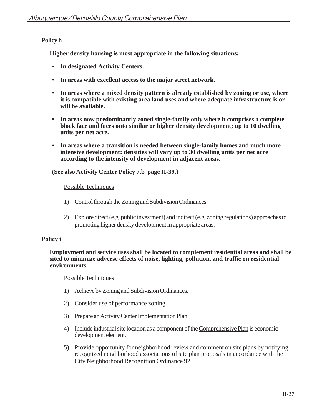# **Policy h**

**Higher density housing is most appropriate in the following situations:**

- **In designated Activity Centers.**
- **In areas with excellent access to the major street network.**
- **In areas where a mixed density pattern is already established by zoning or use, where it is compatible with existing area land uses and where adequate infrastructure is or will be available.**
- **In areas now predominantly zoned single-family only where it comprises a complete block face and faces onto similar or higher density development; up to 10 dwelling units per net acre.**
- **In areas where a transition is needed between single-family homes and much more intensive development: densities will vary up to 30 dwelling units per net acre according to the intensity of development in adjacent areas.**

**(See also Activity Center Policy 7.b page II-39.)**

#### Possible Techniques

- 1) Control through the Zoning and Subdivision Ordinances.
- 2) Explore direct (e.g. public investment) and indirect (e.g. zoning regulations) approaches to promoting higher density development in appropriate areas.

# **Policy i**

**Employment and service uses shall be located to complement residential areas and shall be sited to minimize adverse effects of noise, lighting, pollution, and traffic on residential environments.**

- 1) Achieve by Zoning and Subdivision Ordinances.
- 2) Consider use of performance zoning.
- 3) Prepare an Activity Center Implementation Plan.
- 4) Include industrial site location as a component of the Comprehensive Plan is economic development element.
- 5) Provide opportunity for neighborhood review and comment on site plans by notifying recognized neighborhood associations of site plan proposals in accordance with the City Neighborhood Recognition Ordinance 92.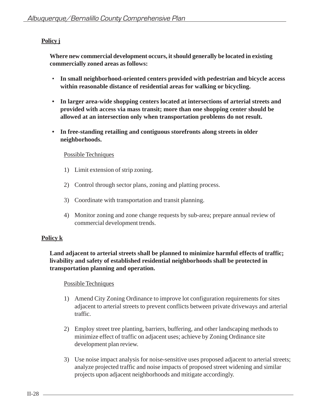# **Policy j**

**Where new commercial development occurs, it should generally be located in existing commercially zoned areas as follows:**

- **In small neighborhood-oriented centers provided with pedestrian and bicycle access within reasonable distance of residential areas for walking or bicycling.**
- **In larger area-wide shopping centers located at intersections of arterial streets and provided with access via mass transit; more than one shopping center should be allowed at an intersection only when transportation problems do not result.**
- **In free-standing retailing and contiguous storefronts along streets in older neighborhoods.**

# Possible Techniques

- 1) Limit extension of strip zoning.
- 2) Control through sector plans, zoning and platting process.
- 3) Coordinate with transportation and transit planning.
- 4) Monitor zoning and zone change requests by sub-area; prepare annual review of commercial development trends.

# **Policy k**

# **Land adjacent to arterial streets shall be planned to minimize harmful effects of traffic; livability and safety of established residential neighborhoods shall be protected in transportation planning and operation.**

- 1) Amend City Zoning Ordinance to improve lot configuration requirements for sites adjacent to arterial streets to prevent conflicts between private driveways and arterial traffic.
- 2) Employ street tree planting, barriers, buffering, and other landscaping methods to minimize effect of traffic on adjacent uses; achieve by Zoning Ordinance site development plan review.
- 3) Use noise impact analysis for noise-sensitive uses proposed adjacent to arterial streets; analyze projected traffic and noise impacts of proposed street widening and similar projects upon adjacent neighborhoods and mitigate accordingly.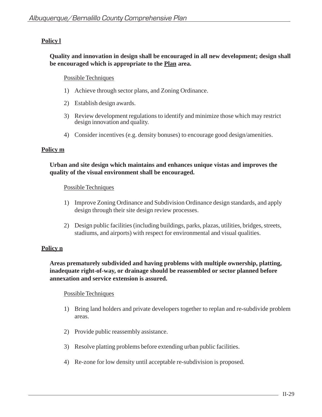# **Policy l**

# **Quality and innovation in design shall be encouraged in all new development; design shall be encouraged which is appropriate to the Plan area.**

# Possible Techniques

- 1) Achieve through sector plans, and Zoning Ordinance.
- 2) Establish design awards.
- 3) Review development regulations to identify and minimize those which may restrict design innovation and quality.
- 4) Consider incentives (e.g. density bonuses) to encourage good design/amenities.

## **Policy m**

# **Urban and site design which maintains and enhances unique vistas and improves the quality of the visual environment shall be encouraged.**

## Possible Techniques

- 1) Improve Zoning Ordinance and Subdivision Ordinance design standards, and apply design through their site design review processes.
- 2) Design public facilities (including buildings, parks, plazas, utilities, bridges, streets, stadiums, and airports) with respect for environmental and visual qualities.

# **Policy n**

# **Areas prematurely subdivided and having problems with multiple ownership, platting, inadequate right-of-way, or drainage should be reassembled or sector planned before annexation and service extension is assured.**

- 1) Bring land holders and private developers together to replan and re-subdivide problem areas.
- 2) Provide public reassembly assistance.
- 3) Resolve platting problems before extending urban public facilities.
- 4) Re-zone for low density until acceptable re-subdivision is proposed.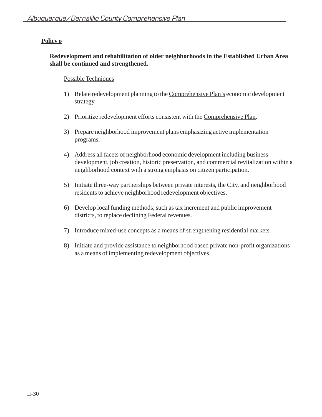# **Policy o**

# **Redevelopment and rehabilitation of older neighborhoods in the Established Urban Area shall be continued and strengthened.**

- 1) Relate redevelopment planning to the Comprehensive Plan's economic development strategy.
- 2) Prioritize redevelopment efforts consistent with the Comprehensive Plan.
- 3) Prepare neighborhood improvement plans emphasizing active implementation programs.
- 4) Address all facets of neighborhood economic development including business development, job creation, historic preservation, and commercial revitalization within a neighborhood context with a strong emphasis on citizen participation.
- 5) Initiate three-way partnerships between private interests, the City, and neighborhood residents to achieve neighborhood redevelopment objectives.
- 6) Develop local funding methods, such as tax increment and public improvement districts, to replace declining Federal revenues.
- 7) Introduce mixed-use concepts as a means of strengthening residential markets.
- 8) Initiate and provide assistance to neighborhood based private non-profit organizations as a means of implementing redevelopment objectives.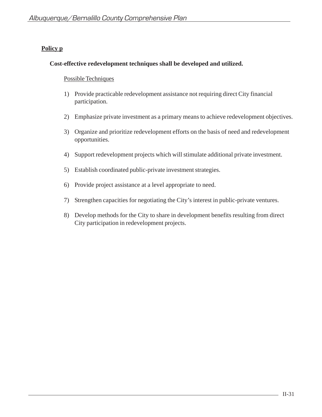# **Policy p**

# **Cost-effective redevelopment techniques shall be developed and utilized.**

- 1) Provide practicable redevelopment assistance not requiring direct City financial participation.
- 2) Emphasize private investment as a primary means to achieve redevelopment objectives.
- 3) Organize and prioritize redevelopment efforts on the basis of need and redevelopment opportunities.
- 4) Support redevelopment projects which will stimulate additional private investment.
- 5) Establish coordinated public-private investment strategies.
- 6) Provide project assistance at a level appropriate to need.
- 7) Strengthen capacities for negotiating the City's interest in public-private ventures.
- 8) Develop methods for the City to share in development benefits resulting from direct City participation in redevelopment projects.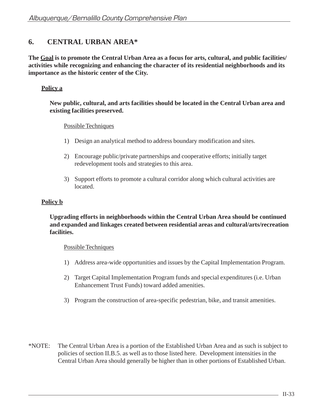# **6. CENTRAL URBAN AREA\***

**The Goal is to promote the Central Urban Area as a focus for arts, cultural, and public facilities/ activities while recognizing and enhancing the character of its residential neighborhoods and its importance as the historic center of the City.**

# **Policy a**

# **New public, cultural, and arts facilities should be located in the Central Urban area and existing facilities preserved.**

# Possible Techniques

- 1) Design an analytical method to address boundary modification and sites.
- 2) Encourage public/private partnerships and cooperative efforts; initially target redevelopment tools and strategies to this area.
- 3) Support efforts to promote a cultural corridor along which cultural activities are located.

# **Policy b**

# **Upgrading efforts in neighborhoods within the Central Urban Area should be continued and expanded and linkages created between residential areas and cultural/arts/recreation facilities.**

- 1) Address area-wide opportunities and issues by the Capital Implementation Program.
- 2) Target Capital Implementation Program funds and special expenditures (i.e. Urban Enhancement Trust Funds) toward added amenities.
- 3) Program the construction of area-specific pedestrian, bike, and transit amenities.
- \*NOTE: The Central Urban Area is a portion of the Established Urban Area and as such is subject to policies of section II.B.5. as well as to those listed here. Development intensities in the Central Urban Area should generally be higher than in other portions of Established Urban.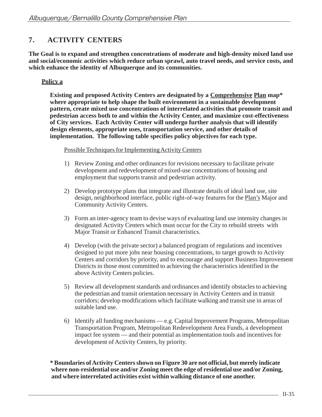# **7. ACTIVITY CENTERS**

**The Goal is to expand and strengthen concentrations of moderate and high-density mixed land use and social/economic activities which reduce urban sprawl, auto travel needs, and service costs, and which enhance the identity of Albuquerque and its communities.**

# **Policy a**

**Existing and proposed Activity Centers are designated by a Comprehensive Plan map\* where appropriate to help shape the built environment in a sustainable development pattern, create mixed use concentrations of interrelated activities that promote transit and pedestrian access both to and within the Activity Center, and maximize cost-effectiveness of City services. Each Activity Center will undergo further analysis that will identify design elements, appropriate uses, transportation service, and other details of implementation. The following table specifies policy objectives for each type.**

Possible Techniques for Implementing Activity Centers

- 1) Review Zoning and other ordinances for revisions necessary to facilitate private development and redevelopment of mixed-use concentrations of housing and employment that supports transit and pedestrian activity.
- 2) Develop prototype plans that integrate and illustrate details of ideal land use, site design, neighborhood interface, public right-of-way features for the Plan's Major and Community Activity Centers.
- 3) Form an inter-agency team to devise ways of evaluating land use intensity changes in designated Activity Centers which must occur for the City to rebuild streets with Major Transit or Enhanced Transit characteristics.
- 4) Develop (with the private sector) a balanced program of regulations and incentives designed to put more jobs near housing concentrations, to target growth to Activity Centers and corridors by priority, and to encourage and support Business Improvement Districts in those most committed to achieving the characteristics identified in the above Activity Centers policies.
- 5) Review all development standards and ordinances and identify obstacles to achieving the pedestrian and transit orientation necessary in Activity Centers and in transit corridors; develop modifications which facilitate walking and transit use in areas of suitable land use.
- 6) Identify all funding mechanisms e.g. Capital Improvement Programs, Metropolitan Transportation Program, Metropolitan Redevelopment Area Funds, a development impact fee system — and their potential as implementation tools and incentives for development of Activity Centers, by priority.

**\* Boundaries of Activity Centers shown on Figure 30 are not official, but merely indicate where non-residential use and/or Zoning meet the edge of residential use and/or Zoning, and where interrelated activities exist within walking distance of one another.**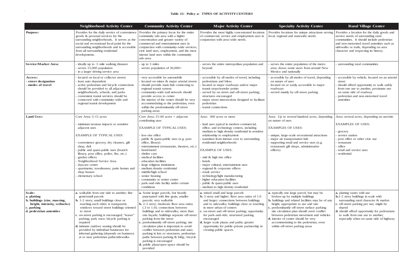|                                                                                                                                | <b>Neighborhood Activity Center</b>                                                                                                                                                                                                                                                                                                                                                                                                                                                              | <b>Community Activity Center</b>                                                                                                                                                                                                                                                                                                                                                                                                                                                                                                                                                                                             | <b>Major Activity Center</b>                                                                                                                                                                                                                                                                                                                                                                                                                                                                                                                                                        | <b>Specialty Activity Center</b>                                                                                                                                                                                                                                                                                                                                                                                                                      | <b>Rural Village Center</b>                                                                                                                                                                                                                                                                            |
|--------------------------------------------------------------------------------------------------------------------------------|--------------------------------------------------------------------------------------------------------------------------------------------------------------------------------------------------------------------------------------------------------------------------------------------------------------------------------------------------------------------------------------------------------------------------------------------------------------------------------------------------|------------------------------------------------------------------------------------------------------------------------------------------------------------------------------------------------------------------------------------------------------------------------------------------------------------------------------------------------------------------------------------------------------------------------------------------------------------------------------------------------------------------------------------------------------------------------------------------------------------------------------|-------------------------------------------------------------------------------------------------------------------------------------------------------------------------------------------------------------------------------------------------------------------------------------------------------------------------------------------------------------------------------------------------------------------------------------------------------------------------------------------------------------------------------------------------------------------------------------|-------------------------------------------------------------------------------------------------------------------------------------------------------------------------------------------------------------------------------------------------------------------------------------------------------------------------------------------------------------------------------------------------------------------------------------------------------|--------------------------------------------------------------------------------------------------------------------------------------------------------------------------------------------------------------------------------------------------------------------------------------------------------|
| <b>Purpose:</b>                                                                                                                | Provides for the daily service of convenience<br>goods & personal services for the<br>surrounding neighborhoods. It serves as the<br>social and recreational focal point for the<br>surrounding neighborhoods and is accessible<br>from all surrounding residential<br>developments.                                                                                                                                                                                                             | Provides the primary focus for the entire<br>community sub-area with a higher<br>concentration and greater variety of<br>commercial and entertainment uses in<br>conjunction with community-wide services,<br>civic land uses, employment, and the most<br>intense land uses within the community<br>sub-area.                                                                                                                                                                                                                                                                                                               | Provides the most highly concentrated locations<br>of commercial, service and employment uses in<br>conjunction with area-wide needs.                                                                                                                                                                                                                                                                                                                                                                                                                                               | Provides locations for unique attractions serving<br>local, regional and statewide needs.                                                                                                                                                                                                                                                                                                                                                             | Provides a location for the daily goods and<br>service needs of surrounding rural<br>communities. It should include pedestrian<br>and non-motorized travel amenities such as<br>sidewalks or trails, depending on area<br>character and respecting its history.                                        |
| <b>Service/Market Area:</b>                                                                                                    | ideally up to .5 mile walking distance<br>serves 15,000 population<br>in a larger driving service area                                                                                                                                                                                                                                                                                                                                                                                           | up to 3 miles<br>serves population of 30,000+                                                                                                                                                                                                                                                                                                                                                                                                                                                                                                                                                                                | serves the entire metropolitan population and<br>beyond                                                                                                                                                                                                                                                                                                                                                                                                                                                                                                                             | serves the entire population of the metro<br>area; draws some users from around New<br>Mexico and nationally                                                                                                                                                                                                                                                                                                                                          | surrounding rural communities                                                                                                                                                                                                                                                                          |
| <b>Access:</b><br>- street designation<br>- modes of travel                                                                    | located on local or collector streets<br>least auto dependent<br>active pedestrian and bicycle connections<br>should be provided to all adjacent<br>neighborhoods, schools, and parks<br>convenient transit services should be<br>connected with community-wide and<br>regional transit development                                                                                                                                                                                              | very accessible by automobile<br>located on minor & major arterial streets<br>should provide main hub connecting to<br>regional transit system<br>community-wide trail network should<br>provide access to center<br>the interior of the center should be very<br>accommodating to the pedestrian, even<br>within the predominantly off-street<br>parking areas                                                                                                                                                                                                                                                              | accessible by all modes of travel, including<br>pedestrians and bikes<br>located at major roadways and/or major<br>transit stops/transfer points<br>served by on street and off-street parking;<br>structures encouraged<br>major street intersections designed to facilitate<br>pedestrian<br>transit connections                                                                                                                                                                                                                                                                  | accessible by all modes of travel, depending<br>on nature of uses<br>located on or easily accessible to major<br>roadways<br>served mainly by off-street parking                                                                                                                                                                                                                                                                                      | accessible by vehicle, located on an arterial<br>street<br>should afford opportunity to walk safely<br>from one use to another, proximate use<br>on same side of roadway<br>pedestrian and non-motorized travel<br>amenities                                                                           |
| <b>Land Uses:</b>                                                                                                              | Core Area: 5-15 acres<br>minimum noxious impacts to sensitive<br>adjacent uses<br><b>EXAMPLE OF TYPICAL USES:</b><br>convenience grocery, dry cleaners, gift<br>shop, deli<br>public and quasi-public uses (branch<br>library, post office, police, fire, etc.)<br>garden offices<br>Neighborhood Service Area<br>daycare center<br>apartments, townhouses, patio homes and<br>shop houses<br>elementary school                                                                                  | Core Area: $15-60$ acres + adjacent<br>contributing uses<br><b>EXAMPLE OF TYPICAL USES:</b><br>low-rise office<br>public & quasi-public uses (e.g. post<br>office, library)<br>entertainment (restaurants, theaters, etc.)<br>hotel/motel<br>shelter care<br>medical facilities<br>education facilities<br>large religious institutions<br>medium density residential<br>middle/high school<br>senior housing<br>community or senior center<br>park-and-ride facility under certain<br>conditions                                                                                                                            | Area: 300 acres or more<br>land uses typical in modern commercial,<br>office, and technology centers, including<br>medium to high density residential in sensitive<br>relationship to employment<br>transition from intense core to surrounding<br>residential neighborhoods<br><b>EXAMPLE OF USES:</b><br>- mid & high rise office<br>- hotels<br>- major cultural, entertainment uses<br>regional & corporate offices<br>retail; service<br>technology/light manufacturing<br>- higher education facilities<br>public & quasi-public uses<br>- medium to high density residential | Area: Up to several hundred acres, depending<br>on nature of uses<br><b>EXAMPLES OF USES:</b><br>unique, large-scale recreational attractions<br>major air transportation hub<br>supporting retail and service uses (e.g.<br>restaurants gift shops, administrative<br>offices)                                                                                                                                                                       | Area: several acres, depending on use/mix<br><b>EXAMPLES OF USES:</b><br>grocery<br>service station<br>post office or other civic use<br>restaurant<br>office<br>retail and service uses<br>residential                                                                                                |
| Scale:<br>a. platting<br>b. buildings (size, massing,<br>height, intensity, setbacks)<br>c. parking<br>d. pedestrian amenities | a. walkable from one side to another; fine<br>grain/small parcels<br><b>b.</b> 1-2 story; small buildings close or<br>touching each other, is transparent;<br>windows toward street buildings oriented<br>to street<br>c. on-street parking is encouraged; "teaser"<br>parking; park once; bicycle parking is<br>required<br>d. intimate outdoor seating should be<br>provided by individual businesses for<br>informal gathering (depends on business)<br>at or near pedestrian paths/sidewalks | a. Some larger parcels, but heavily<br>punctuated with fine grain, smaller<br>parcels; very walkable<br><b>b.</b> 2-3 story; moderate floor area ratios<br>$(.3 \text{ to } 1.0)$ ; connections between<br>buildings and to sidewalks; more than<br>one façade; buildings separate off-street<br>parking from the street<br>c. predominantly off-street parking; site<br>circulation plan is important to avoid<br>conflict between pedestrian and auto;<br>parking in lots or structures; pedestrian<br>paths between parking & bldg.; bicycle<br>parking is encouraged<br>d. public plaza/open space should be<br>provided | a. mixed small and large parcels<br><b>b.</b> 3 story and higher; floor area ratios of $1.0$<br>and larger; connections between buildings<br>and to sidewalks; buildings close or touching<br>in more urban of centers<br>c. on-street and off-street parking; opportunity<br>for park-and-ride; structured parking<br>encouraged<br>d. larger scale plazas and paths; greater<br>opportunity for public-private partnership in<br>creating public spaces                                                                                                                           | <b>a.</b> typically one large parcel, but may be<br>broken up by multiple buildings<br><b>b.</b> buildings and related facilities may be of any<br>height, appropriate to use and size<br>c. predominantly off-street surface parking;<br>site circulation plan should avert conflict<br>between pedestrian movement and vehicles<br>d. interior of center should be very<br>accommodating to the pedestrian, even<br>within off-street parking areas | a. platting varies with use<br><b>b.</b> 1-2 story buildings in scale with<br>surrounding rural character & market<br>c. off-street parking per use; might be<br>shared<br>d. should afford opportunity for pedestrians<br>to walk from one use to another,<br>especially when on same side of highway |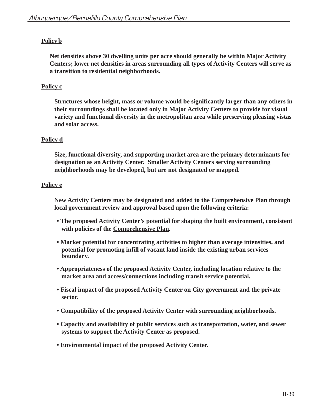# **Policy b**

**Net densities above 30 dwelling units per acre should generally be within Major Activity Centers; lower net densities in areas surrounding all types of Activity Centers will serve as a transition to residential neighborhoods.**

# **Policy c**

**Structures whose height, mass or volume would be significantly larger than any others in their surroundings shall be located only in Major Activity Centers to provide for visual variety and functional diversity in the metropolitan area while preserving pleasing vistas and solar access.**

# **Policy d**

**Size, functional diversity, and supporting market area are the primary determinants for designation as an Activity Center. Smaller Activity Centers serving surrounding neighborhoods may be developed, but are not designated or mapped.**

# **Policy e**

**New Activity Centers may be designated and added to the Comprehensive Plan through local government review and approval based upon the following criteria:**

- **The proposed Activity Center's potential for shaping the built environment, consistent with policies of the Comprehensive Plan.**
- **Market potential for concentrating activities to higher than average intensities, and potential for promoting infill of vacant land inside the existing urban services boundary.**
- **Appropriateness of the proposed Activity Center, including location relative to the market area and access/connections including transit service potential.**
- **Fiscal impact of the proposed Activity Center on City government and the private sector.**
- **Compatibility of the proposed Activity Center with surrounding neighborhoods.**
- **Capacity and availability of public services such as transportation, water, and sewer systems to support the Activity Center as proposed.**
- **Environmental impact of the proposed Activity Center.**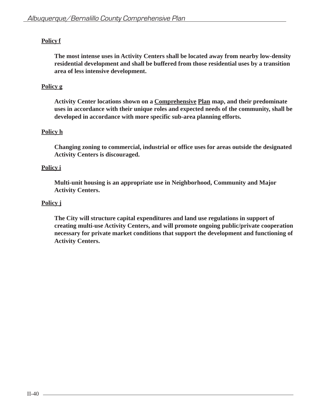# **Policy f**

**The most intense uses in Activity Centers shall be located away from nearby low-density residential development and shall be buffered from those residential uses by a transition area of less intensive development.**

# **Policy g**

**Activity Center locations shown on a Comprehensive Plan map, and their predominate uses in accordance with their unique roles and expected needs of the community, shall be developed in accordance with more specific sub-area planning efforts.**

# **Policy h**

**Changing zoning to commercial, industrial or office uses for areas outside the designated Activity Centers is discouraged.**

# **Policy i**

**Multi-unit housing is an appropriate use in Neighborhood, Community and Major Activity Centers.**

# **Policy j**

**The City will structure capital expenditures and land use regulations in support of creating multi-use Activity Centers, and will promote ongoing public/private cooperation necessary for private market conditions that support the development and functioning of Activity Centers.**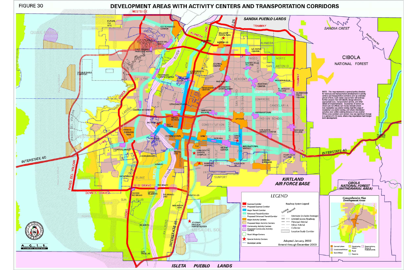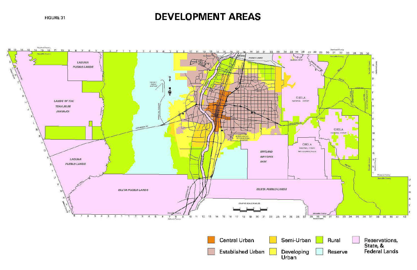FIGURE 31

# **DEVELOPMENT AREAS**

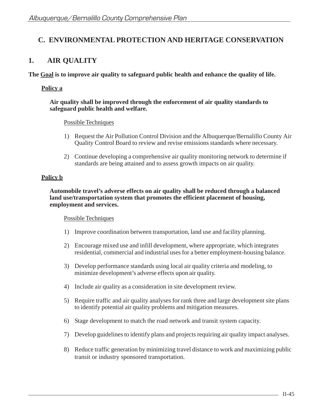# **C. ENVIRONMENTAL PROTECTION AND HERITAGE CONSERVATION**

# **1. AIR QUALITY**

**The Goal is to improve air quality to safeguard public health and enhance the quality of life.**

# **Policy a**

### **Air quality shall be improved through the enforcement of air quality standards to safeguard public health and welfare.**

## Possible Techniques

- 1) Request the Air Pollution Control Division and the Albuquerque/Bernalillo County Air Quality Control Board to review and revise emissions standards where necessary.
- 2) Continue developing a comprehensive air quality monitoring network to determine if standards are being attained and to assess growth impacts on air quality.

# **Policy b**

**Automobile travel's adverse effects on air quality shall be reduced through a balanced land use/transportation system that promotes the efficient placement of housing, employment and services.**

- 1) Improve coordination between transportation, land use and facility planning.
- 2) Encourage mixed use and infill development, where appropriate, which integrates residential, commercial and industrial uses for a better employment-housing balance.
- 3) Develop performance standards using local air quality criteria and modeling, to minimize development's adverse effects upon air quality.
- 4) Include air quality as a consideration in site development review.
- 5) Require traffic and air quality analyses for rank three and large development site plans to identify potential air quality problems and mitigation measures.
- 6) Stage development to match the road network and transit system capacity.
- 7) Develop guidelines to identify plans and projects requiring air quality impact analyses.
- 8) Reduce traffic generation by minimizing travel distance to work and maximizing public transit or industry sponsored transportation.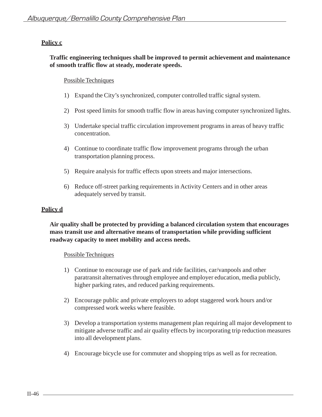# **Traffic engineering techniques shall be improved to permit achievement and maintenance of smooth traffic flow at steady, moderate speeds.**

## Possible Techniques

- 1) Expand the City's synchronized, computer controlled traffic signal system.
- 2) Post speed limits for smooth traffic flow in areas having computer synchronized lights.
- 3) Undertake special traffic circulation improvement programs in areas of heavy traffic concentration.
- 4) Continue to coordinate traffic flow improvement programs through the urban transportation planning process.
- 5) Require analysis for traffic effects upon streets and major intersections.
- 6) Reduce off-street parking requirements in Activity Centers and in other areas adequately served by transit.

## **Policy d**

# **Air quality shall be protected by providing a balanced circulation system that encourages mass transit use and alternative means of transportation while providing sufficient roadway capacity to meet mobility and access needs.**

- 1) Continue to encourage use of park and ride facilities, car/vanpools and other paratransit alternatives through employee and employer education, media publicly, higher parking rates, and reduced parking requirements.
- 2) Encourage public and private employers to adopt staggered work hours and/or compressed work weeks where feasible.
- 3) Develop a transportation systems management plan requiring all major development to mitigate adverse traffic and air quality effects by incorporating trip reduction measures into all development plans.
- 4) Encourage bicycle use for commuter and shopping trips as well as for recreation.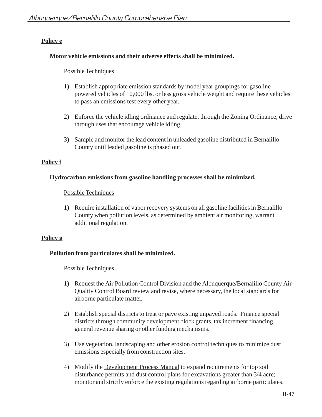# **Policy e**

## **Motor vehicle emissions and their adverse effects shall be minimized.**

## Possible Techniques

- 1) Establish appropriate emission standards by model year groupings for gasoline powered vehicles of 10,000 lbs. or less gross vehicle weight and require these vehicles to pass an emissions test every other year.
- 2) Enforce the vehicle idling ordinance and regulate, through the Zoning Ordinance, drive through uses that encourage vehicle idling.
- 3) Sample and monitor the lead content in unleaded gasoline distributed in Bernalillo County until leaded gasoline is phased out.

# **Policy f**

# **Hydrocarbon emissions from gasoline handling processes shall be minimized.**

## Possible Techniques

1) Require installation of vapor recovery systems on all gasoline facilities in Bernalillo County when pollution levels, as determined by ambient air monitoring, warrant additional regulation.

# **Policy g**

## **Pollution from particulates shall be minimized.**

- 1) Request the Air Pollution Control Division and the Albuquerque/Bernalillo County Air Quality Control Board review and revise, where necessary, the local standards for airborne particulate matter.
- 2) Establish special districts to treat or pave existing unpaved roads. Finance special districts through community development block grants, tax increment financing, general revenue sharing or other funding mechanisms.
- 3) Use vegetation, landscaping and other erosion control techniques to minimize dust emissions especially from construction sites.
- 4) Modify the Development Process Manual to expand requirements for top soil disturbance permits and dust control plans for excavations greater than 3/4 acre; monitor and strictly enforce the existing regulations regarding airborne particulates.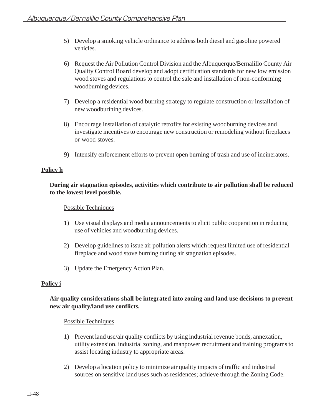- 5) Develop a smoking vehicle ordinance to address both diesel and gasoline powered vehicles.
- 6) Request the Air Pollution Control Division and the Albuquerque/Bernalillo County Air Quality Control Board develop and adopt certification standards for new low emission wood stoves and regulations to control the sale and installation of non-conforming woodburning devices.
- 7) Develop a residential wood burning strategy to regulate construction or installation of new woodburining devices.
- 8) Encourage installation of catalytic retrofits for existing woodburning devices and investigate incentives to encourage new construction or remodeling without fireplaces or wood stoves.
- 9) Intensify enforcement efforts to prevent open burning of trash and use of incinerators.

# **Policy h**

# **During air stagnation episodes, activities which contribute to air pollution shall be reduced to the lowest level possible.**

## Possible Techniques

- 1) Use visual displays and media announcements to elicit public cooperation in reducing use of vehicles and woodburning devices.
- 2) Develop guidelines to issue air pollution alerts which request limited use of residential fireplace and wood stove burning during air stagnation episodes.
- 3) Update the Emergency Action Plan.

## **Policy i**

# **Air quality considerations shall be integrated into zoning and land use decisions to prevent new air quality/land use conflicts.**

- 1) Prevent land use/air quality conflicts by using industrial revenue bonds, annexation, utility extension, industrial zoning, and manpower recruitment and training programs to assist locating industry to appropriate areas.
- 2) Develop a location policy to minimize air quality impacts of traffic and industrial sources on sensitive land uses such as residences; achieve through the Zoning Code.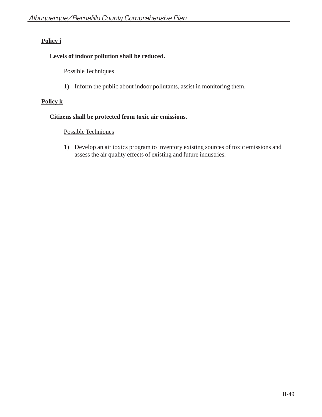# **Policy j**

# **Levels of indoor pollution shall be reduced.**

## Possible Techniques

1) Inform the public about indoor pollutants, assist in monitoring them.

# **Policy k**

## **Citizens shall be protected from toxic air emissions.**

# Possible Techniques

1) Develop an air toxics program to inventory existing sources of toxic emissions and assess the air quality effects of existing and future industries.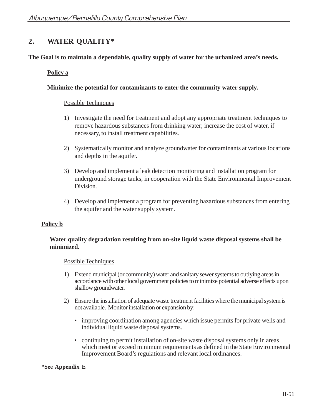# **2. WATER QUALITY\***

# **The Goal is to maintain a dependable, quality supply of water for the urbanized area's needs.**

## **Policy a**

## **Minimize the potential for contaminants to enter the community water supply.**

## Possible Techniques

- 1) Investigate the need for treatment and adopt any appropriate treatment techniques to remove hazardous substances from drinking water; increase the cost of water, if necessary, to install treatment capabilities.
- 2) Systematically monitor and analyze groundwater for contaminants at various locations and depths in the aquifer.
- 3) Develop and implement a leak detection monitoring and installation program for underground storage tanks, in cooperation with the State Environmental Improvement Division.
- 4) Develop and implement a program for preventing hazardous substances from entering the aquifer and the water supply system.

# **Policy b**

# **Water quality degradation resulting from on-site liquid waste disposal systems shall be minimized.**

## Possible Techniques

- 1) Extend municipal (or community) water and sanitary sewer systems to outlying areas in accordance with other local government policies to minimize potential adverse effects upon shallow groundwater.
- 2) Ensure the installation of adequate waste treatment facilities where the municipal system is not available. Monitor installation or expansion by:
	- improving coordination among agencies which issue permits for private wells and individual liquid waste disposal systems.
	- continuing to permit installation of on-site waste disposal systems only in areas which meet or exceed minimum requirements as defined in the State Environmental Improvement Board's regulations and relevant local ordinances.

**\*See Appendix E**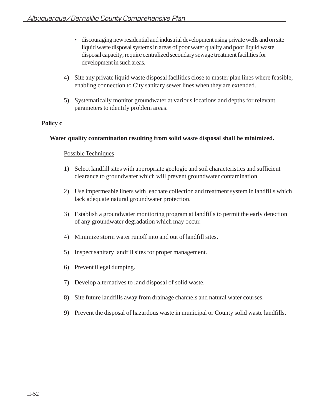- discouraging new residential and industrial development using private wells and on site liquid waste disposal systems in areas of poor water quality and poor liquid waste disposal capacity; require centralized secondary sewage treatment facilities for development in such areas.
- 4) Site any private liquid waste disposal facilities close to master plan lines where feasible, enabling connection to City sanitary sewer lines when they are extended.
- 5) Systematically monitor groundwater at various locations and depths for relevant parameters to identify problem areas.

## **Water quality contamination resulting from solid waste disposal shall be minimized.**

- 1) Select landfill sites with appropriate geologic and soil characteristics and sufficient clearance to groundwater which will prevent groundwater contamination.
- 2) Use impermeable liners with leachate collection and treatment system in landfills which lack adequate natural groundwater protection.
- 3) Establish a groundwater monitoring program at landfills to permit the early detection of any groundwater degradation which may occur.
- 4) Minimize storm water runoff into and out of landfill sites.
- 5) Inspect sanitary landfill sites for proper management.
- 6) Prevent illegal dumping.
- 7) Develop alternatives to land disposal of solid waste.
- 8) Site future landfills away from drainage channels and natural water courses.
- 9) Prevent the disposal of hazardous waste in municipal or County solid waste landfills.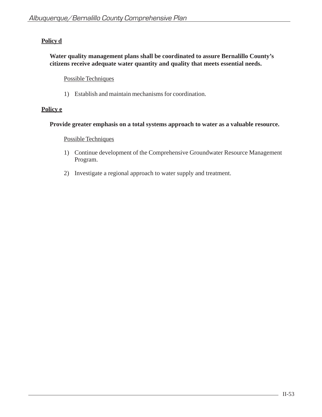# **Policy d**

# **Water quality management plans shall be coordinated to assure Bernalillo County's citizens receive adequate water quantity and quality that meets essential needs.**

# Possible Techniques

1) Establish and maintain mechanisms for coordination.

# **Policy e**

## **Provide greater emphasis on a total systems approach to water as a valuable resource.**

- 1) Continue development of the Comprehensive Groundwater Resource Management Program.
- 2) Investigate a regional approach to water supply and treatment.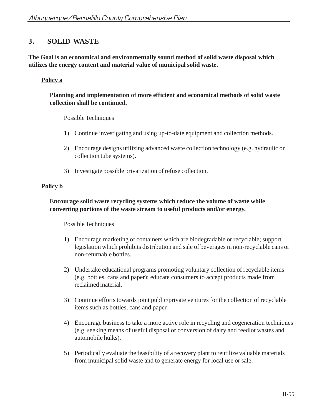# **3. SOLID WASTE**

**The Goal is an economical and environmentally sound method of solid waste disposal which utilizes the energy content and material value of municipal solid waste.**

# **Policy a**

## **Planning and implementation of more efficient and economical methods of solid waste collection shall be continued.**

## Possible Techniques

- 1) Continue investigating and using up-to-date equipment and collection methods.
- 2) Encourage designs utilizing advanced waste collection technology (e.g. hydraulic or collection tube systems).
- 3) Investigate possible privatization of refuse collection.

## **Policy b**

## **Encourage solid waste recycling systems which reduce the volume of waste while converting portions of the waste stream to useful products and/or energy.**

- 1) Encourage marketing of containers which are biodegradable or recyclable; support legislation which prohibits distribution and sale of beverages in non-recyclable cans or non-returnable bottles.
- 2) Undertake educational programs promoting voluntary collection of recyclable items (e.g. bottles, cans and paper); educate consumers to accept products made from reclaimed material.
- 3) Continue efforts towards joint public/private ventures for the collection of recyclable items such as bottles, cans and paper.
- 4) Encourage business to take a more active role in recycling and cogeneration techniques (e.g. seeking means of useful disposal or conversion of dairy and feedlot wastes and automobile hulks).
- 5) Periodically evaluate the feasibility of a recovery plant to reutilize valuable materials from municipal solid waste and to generate energy for local use or sale.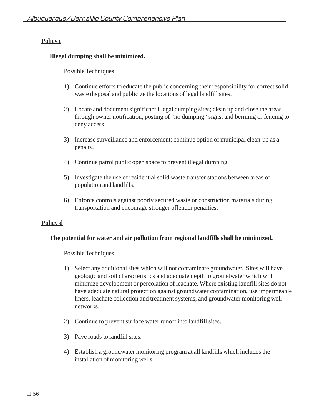# **Illegal dumping shall be minimized.**

## Possible Techniques

- 1) Continue efforts to educate the public concerning their responsibility for correct solid waste disposal and publicize the locations of legal landfill sites.
- 2) Locate and document significant illegal dumping sites; clean up and close the areas through owner notification, posting of "no dumping" signs, and berming or fencing to deny access.
- 3) Increase surveillance and enforcement; continue option of municipal clean-up as a penalty.
- 4) Continue patrol public open space to prevent illegal dumping.
- 5) Investigate the use of residential solid waste transfer stations between areas of population and landfills.
- 6) Enforce controls against poorly secured waste or construction materials during transportation and encourage stronger offender penalties.

# **Policy d**

## **The potential for water and air pollution from regional landfills shall be minimized.**

- 1) Select any additional sites which will not contaminate groundwater. Sites will have geologic and soil characteristics and adequate depth to groundwater which will minimize development or percolation of leachate. Where existing landfill sites do not have adequate natural protection against groundwater contamination, use impermeable liners, leachate collection and treatment systems, and groundwater monitoring well networks.
- 2) Continue to prevent surface water runoff into landfill sites.
- 3) Pave roads to landfill sites.
- 4) Establish a groundwater monitoring program at all landfills which includes the installation of monitoring wells.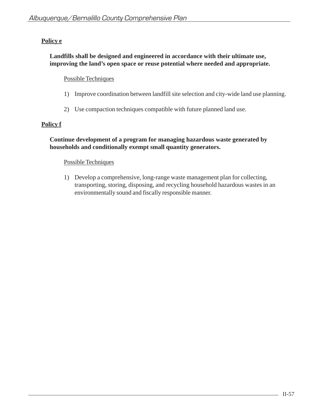# **Policy e**

# **Landfills shall be designed and engineered in accordance with their ultimate use, improving the land's open space or reuse potential where needed and appropriate.**

## Possible Techniques

- 1) Improve coordination between landfill site selection and city-wide land use planning.
- 2) Use compaction techniques compatible with future planned land use.

# **Policy f**

# **Continue development of a program for managing hazardous waste generated by households and conditionally exempt small quantity generators.**

## Possible Techniques

1) Develop a comprehensive, long-range waste management plan for collecting, transporting, storing, disposing, and recycling household hazardous wastes in an environmentally sound and fiscally responsible manner.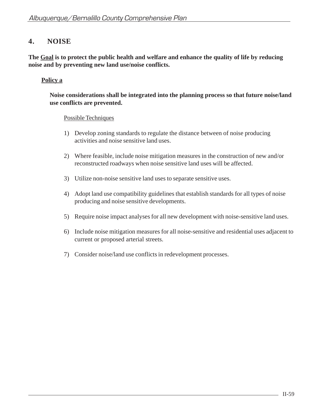# **4. NOISE**

**The Goal is to protect the public health and welfare and enhance the quality of life by reducing noise and by preventing new land use/noise conflicts.**

# **Policy a**

**Noise considerations shall be integrated into the planning process so that future noise/land use conflicts are prevented.**

- 1) Develop zoning standards to regulate the distance between of noise producing activities and noise sensitive land uses.
- 2) Where feasible, include noise mitigation measures in the construction of new and/or reconstructed roadways when noise sensitive land uses will be affected.
- 3) Utilize non-noise sensitive land uses to separate sensitive uses.
- 4) Adopt land use compatibility guidelines that establish standards for all types of noise producing and noise sensitive developments.
- 5) Require noise impact analyses for all new development with noise-sensitive land uses.
- 6) Include noise mitigation measures for all noise-sensitive and residential uses adjacent to current or proposed arterial streets.
- 7) Consider noise/land use conflicts in redevelopment processes.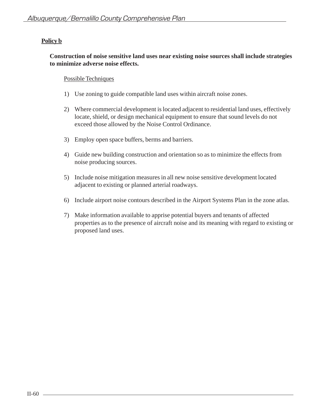# **Policy b**

# **Construction of noise sensitive land uses near existing noise sources shall include strategies to minimize adverse noise effects.**

- 1) Use zoning to guide compatible land uses within aircraft noise zones.
- 2) Where commercial development is located adjacent to residential land uses, effectively locate, shield, or design mechanical equipment to ensure that sound levels do not exceed those allowed by the Noise Control Ordinance.
- 3) Employ open space buffers, berms and barriers.
- 4) Guide new building construction and orientation so as to minimize the effects from noise producing sources.
- 5) Include noise mitigation measures in all new noise sensitive development located adjacent to existing or planned arterial roadways.
- 6) Include airport noise contours described in the Airport Systems Plan in the zone atlas.
- 7) Make information available to apprise potential buyers and tenants of affected properties as to the presence of aircraft noise and its meaning with regard to existing or proposed land uses.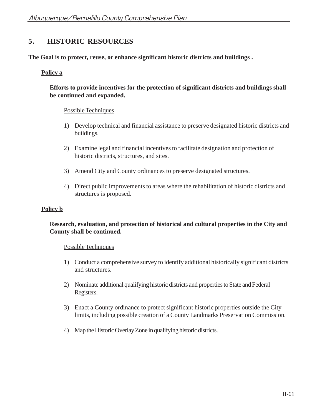# **5. HISTORIC RESOURCES**

**The Goal is to protect, reuse, or enhance significant historic districts and buildings .**

# **Policy a**

# **Efforts to provide incentives for the protection of significant districts and buildings shall be continued and expanded.**

# Possible Techniques

- 1) Develop technical and financial assistance to preserve designated historic districts and buildings.
- 2) Examine legal and financial incentives to facilitate designation and protection of historic districts, structures, and sites.
- 3) Amend City and County ordinances to preserve designated structures.
- 4) Direct public improvements to areas where the rehabilitation of historic districts and structures is proposed.

## **Policy b**

## **Research, evaluation, and protection of historical and cultural properties in the City and County shall be continued.**

- 1) Conduct a comprehensive survey to identify additional historically significant districts and structures.
- 2) Nominate additional qualifying historic districts and properties to State and Federal Registers.
- 3) Enact a County ordinance to protect significant historic properties outside the City limits, including possible creation of a County Landmarks Preservation Commission.
- 4) Map the Historic Overlay Zone in qualifying historic districts.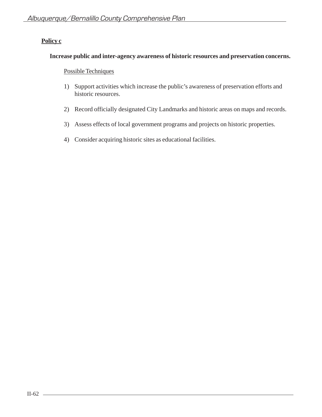# **Increase public and inter-agency awareness of historic resources and preservation concerns.**

- 1) Support activities which increase the public's awareness of preservation efforts and historic resources.
- 2) Record officially designated City Landmarks and historic areas on maps and records.
- 3) Assess effects of local government programs and projects on historic properties.
- 4) Consider acquiring historic sites as educational facilities.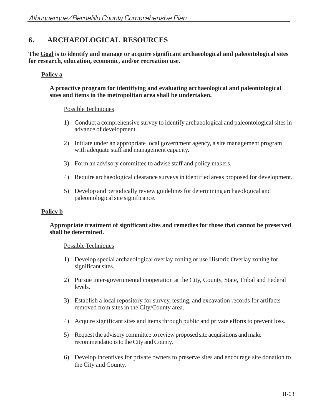# **6. ARCHAEOLOGICAL RESOURCES**

**The Goal is to identify and manage or acquire significant archaeological and paleontological sites for research, education, economic, and/or recreation use.**

## **Policy a**

#### **A proactive program for identifying and evaluating archaeological and paleontological sites and items in the metropolitan area shall be undertaken.**

#### Possible Techniques

- 1) Conduct a comprehensive survey to identify archaeological and paleontological sites in advance of development.
- 2) Initiate under an appropriate local government agency, a site management program with adequate staff and management capacity.
- 3) Form an advisory committee to advise staff and policy makers.
- 4) Require archaeological clearance surveys in identified areas proposed for development.
- 5) Develop and periodically review guidelines for determining archaeological and paleontological site significance.

#### **Policy b**

#### **Appropriate treatment of significant sites and remedies for those that cannot be preserved shall be determined.**

- 1) Develop special archaeological overlay zoning or use Historic Overlay zoning for significant sites.
- 2) Pursue inter-governmental cooperation at the City, County, State, Tribal and Federal levels.
- 3) Establish a local repository for survey, testing, and excavation records for artifacts removed from sites in the City/County area.
- 4) Acquire significant sites and items through public and private efforts to prevent loss.
- 5) Request the advisory committee to review proposed site acquisitions and make recommendations to the City and County.
- 6) Develop incentives for private owners to preserve sites and encourage site donation to the City and County.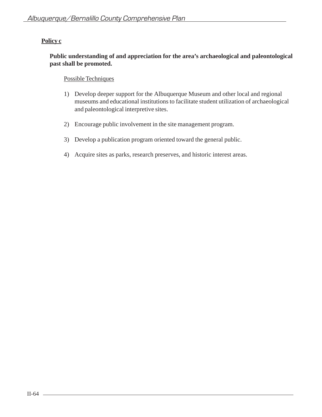## **Public understanding of and appreciation for the area's archaeological and paleontological past shall be promoted.**

- 1) Develop deeper support for the Albuquerque Museum and other local and regional museums and educational institutions to facilitate student utilization of archaeological and paleontological interpretive sites.
- 2) Encourage public involvement in the site management program.
- 3) Develop a publication program oriented toward the general public.
- 4) Acquire sites as parks, research preserves, and historic interest areas.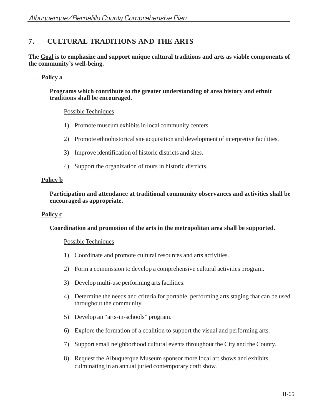# **7. CULTURAL TRADITIONS AND THE ARTS**

**The Goal is to emphasize and support unique cultural traditions and arts as viable components of the community's well-being.**

## **Policy a**

**Programs which contribute to the greater understanding of area history and ethnic traditions shall be encouraged.**

#### Possible Techniques

- 1) Promote museum exhibits in local community centers.
- 2) Promote ethnohistorical site acquisition and development of interpretive facilities.
- 3) Improve identification of historic districts and sites.
- 4) Support the organization of tours in historic districts.

#### **Policy b**

**Participation and attendance at traditional community observances and activities shall be encouraged as appropriate.**

#### **Policy c**

#### **Coordination and promotion of the arts in the metropolitan area shall be supported.**

- 1) Coordinate and promote cultural resources and arts activities.
- 2) Form a commission to develop a comprehensive cultural activities program.
- 3) Develop multi-use performing arts facilities.
- 4) Determine the needs and criteria for portable, performing arts staging that can be used throughout the community.
- 5) Develop an "arts-in-schools" program.
- 6) Explore the formation of a coalition to support the visual and performing arts.
- 7) Support small neighborhood cultural events throughout the City and the County.
- 8) Request the Albuquerque Museum sponsor more local art shows and exhibits, culminating in an annual juried contemporary craft show.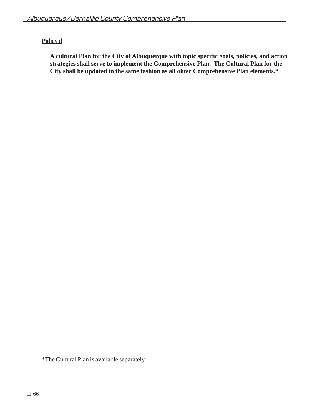# **Policy d**

**A cultural Plan for the City of Albuquerque with topic specific goals, policies, and action strategies shall serve to implement the Comprehensive Plan. The Cultural Plan for the City shall be updated in the same fashion as all ohter Comprehensive Plan elements.\***

\*The Cultural Plan is available separately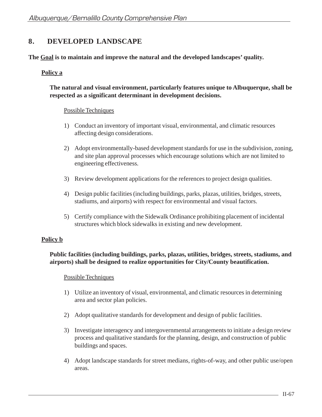# **8. DEVELOPED LANDSCAPE**

**The Goal is to maintain and improve the natural and the developed landscapes' quality.**

# **Policy a**

# **The natural and visual environment, particularly features unique to Albuquerque, shall be respected as a significant determinant in development decisions.**

## Possible Techniques

- 1) Conduct an inventory of important visual, environmental, and climatic resources affecting design considerations.
- 2) Adopt environmentally-based development standards for use in the subdivision, zoning, and site plan approval processes which encourage solutions which are not limited to engineering effectiveness.
- 3) Review development applications for the references to project design qualities.
- 4) Design public facilities (including buildings, parks, plazas, utilities, bridges, streets, stadiums, and airports) with respect for environmental and visual factors.
- 5) Certify compliance with the Sidewalk Ordinance prohibiting placement of incidental structures which block sidewalks in existing and new development.

## **Policy b**

# **Public facilities (including buildings, parks, plazas, utilities, bridges, streets, stadiums, and airports) shall be designed to realize opportunities for City/County beautification.**

- 1) Utilize an inventory of visual, environmental, and climatic resources in determining area and sector plan policies.
- 2) Adopt qualitative standards for development and design of public facilities.
- 3) Investigate interagency and intergovernmental arrangements to initiate a design review process and qualitative standards for the planning, design, and construction of public buildings and spaces.
- 4) Adopt landscape standards for street medians, rights-of-way, and other public use/open areas.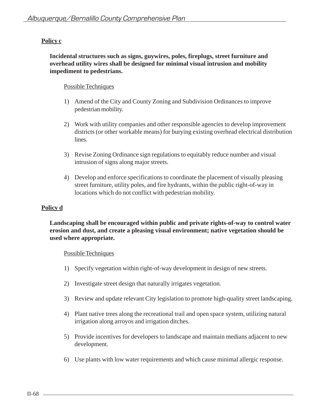**Incidental structures such as signs, guywires, poles, fireplugs, street furniture and overhead utility wires shall be designed for minimal visual intrusion and mobility impediment to pedestrians.**

# Possible Techniques

- 1) Amend of the City and County Zoning and Subdivision Ordinances to improve pedestrian mobility.
- 2) Work with utility companies and other responsible agencies to develop improvement districts (or other workable means) for burying existing overhead electrical distribution lines.
- 3) Revise Zoning Ordinance sign regulations to equitably reduce number and visual intrusion of signs along major streets.
- 4) Develop and enforce specifications to coordinate the placement of visually pleasing street furniture, utility poles, and fire hydrants, within the public right-of-way in locations which do not conflict with pedestrian mobility.

# **Policy d**

## **Landscaping shall be encouraged within public and private rights-of-way to control water erosion and dust, and create a pleasing visual environment; native vegetation should be used where appropriate.**

- 1) Specify vegetation within right-of-way development in design of new streets.
- 2) Investigate street design that naturally irrigates vegetation.
- 3) Review and update relevant City legislation to promote high-quality street landscaping.
- 4) Plant native trees along the recreational trail and open space system, utilizing natural irrigation along arroyos and irrigation ditches.
- 5) Provide incentives for developers to landscape and maintain medians adjacent to new development.
- 6) Use plants with low water requirements and which cause minimal allergic response.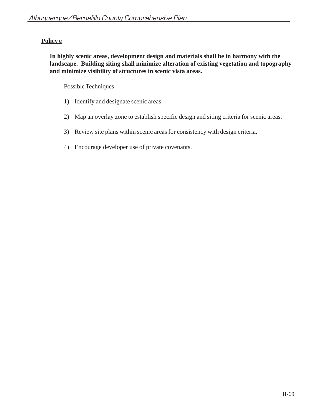# **Policy e**

**In highly scenic areas, development design and materials shall be in harmony with the landscape. Building siting shall minimize alteration of existing vegetation and topography and minimize visibility of structures in scenic vista areas.**

- 1) Identify and designate scenic areas.
- 2) Map an overlay zone to establish specific design and siting criteria for scenic areas.
- 3) Review site plans within scenic areas for consistency with design criteria.
- 4) Encourage developer use of private covenants.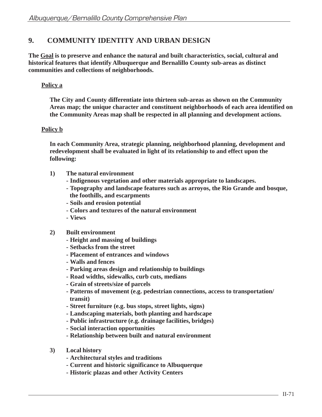# **9. COMMUNITY IDENTITY AND URBAN DESIGN**

**The Goal is to preserve and enhance the natural and built characteristics, social, cultural and historical features that identify Albuquerque and Bernalillo County sub-areas as distinct communities and collections of neighborhoods.**

# **Policy a**

**The City and County differentiate into thirteen sub-areas as shown on the Community Areas map; the unique character and constituent neighborhoods of each area identified on the Community Areas map shall be respected in all planning and development actions.**

# **Policy b**

**In each Community Area, strategic planning, neighborhood planning, development and redevelopment shall be evaluated in light of its relationship to and effect upon the following:**

- **1) The natural environment**
	- **Indigenous vegetation and other materials appropriate to landscapes.**
	- **Topography and landscape features such as arroyos, the Rio Grande and bosque, the foothills, and escarpments**
	- **Soils and erosion potential**
	- **Colors and textures of the natural environment**
	- **Views**
- **2) Built environment**
	- **Height and massing of buildings**
	- **Setbacks from the street**
	- **Placement of entrances and windows**
	- **Walls and fences**
	- **Parking areas design and relationship to buildings**
	- **Road widths, sidewalks, curb cuts, medians**
	- **Grain of streets/size of parcels**
	- **Patterns of movement (e.g. pedestrian connections, access to transportation/ transit)**
	- **Street furniture (e.g. bus stops, street lights, signs)**
	- **Landscaping materials, both planting and hardscape**
	- **Public infrastructure (e.g. drainage facilities, bridges)**
	- **Social interaction opportunities**
	- **Relationship between built and natural environment**
- **3) Local history**
	- **Architectural styles and traditions**
	- **Current and historic significance to Albuquerque**
	- **Historic plazas and other Activity Centers**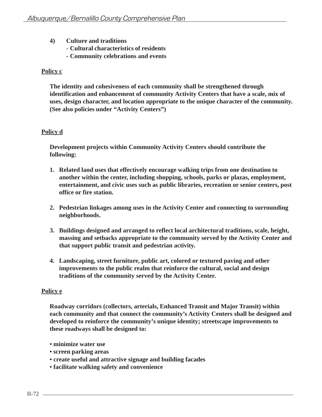- **4) Culture and traditions**
	- **Cultural characteristics of residents**
	- **Community celebrations and events**

**The identity and cohesiveness of each community shall be strengthened through identification and enhancement of community Activity Centers that have a scale, mix of uses, design character, and location appropriate to the unique character of the community. (See also policies under "Activity Centers")**

# **Policy d**

**Development projects within Community Activity Centers should contribute the following:**

- **1. Related land uses that effectively encourage walking trips from one destination to another within the center, including shopping, schools, parks or plazas, employment, entertainment, and civic uses such as public libraries, recreation or senior centers, post office or fire station.**
- **2. Pedestrian linkages among uses in the Activity Center and connecting to surrounding neighborhoods.**
- **3. Buildings designed and arranged to reflect local architectural traditions, scale, height, massing and setbacks appropriate to the community served by the Activity Center and that support public transit and pedestrian activity.**
- **4. Landscaping, street furniture, public art, colored or textured paving and other improvements to the public realm that reinforce the cultural, social and design traditions of the community served by the Activity Center.**

## **Policy e**

**Roadway corridors (collectors, arterials, Enhanced Transit and Major Transit) within each community and that connect the community's Activity Centers shall be designed and developed to reinforce the community's unique identity; streetscape improvements to these roadways shall be designed to:**

- **minimize water use**
- **screen parking areas**
- **create useful and attractive signage and building facades**
- **facilitate walking safety and convenience**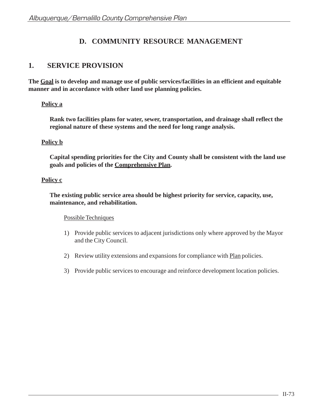# **D. COMMUNITY RESOURCE MANAGEMENT**

# **1. SERVICE PROVISION**

**The Goal is to develop and manage use of public services/facilities in an efficient and equitable manner and in accordance with other land use planning policies.**

# **Policy a**

**Rank two facilities plans for water, sewer, transportation, and drainage shall reflect the regional nature of these systems and the need for long range analysis.**

# **Policy b**

**Capital spending priorities for the City and County shall be consistent with the land use goals and policies of the Comprehensive Plan.**

# **Policy c**

**The existing public service area should be highest priority for service, capacity, use, maintenance, and rehabilitation.**

- 1) Provide public services to adjacent jurisdictions only where approved by the Mayor and the City Council.
- 2) Review utility extensions and expansions for compliance with Plan policies.
- 3) Provide public services to encourage and reinforce development location policies.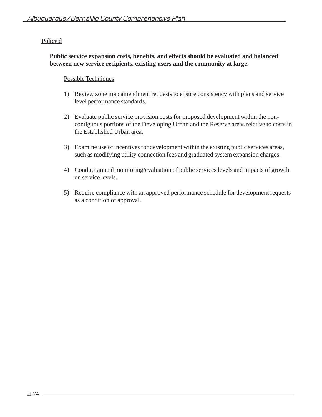# **Policy d**

## **Public service expansion costs, benefits, and effects should be evaluated and balanced between new service recipients, existing users and the community at large.**

- 1) Review zone map amendment requests to ensure consistency with plans and service level performance standards.
- 2) Evaluate public service provision costs for proposed development within the noncontiguous portions of the Developing Urban and the Reserve areas relative to costs in the Established Urban area.
- 3) Examine use of incentives for development within the existing public services areas, such as modifying utility connection fees and graduated system expansion charges.
- 4) Conduct annual monitoring/evaluation of public services levels and impacts of growth on service levels.
- 5) Require compliance with an approved performance schedule for development requests as a condition of approval.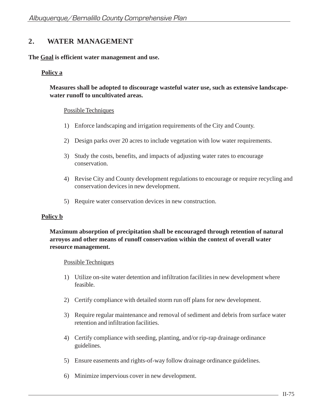# **2. WATER MANAGEMENT**

## **The Goal is efficient water management and use.**

# **Policy a**

**Measures shall be adopted to discourage wasteful water use, such as extensive landscapewater runoff to uncultivated areas.**

## Possible Techniques

- 1) Enforce landscaping and irrigation requirements of the City and County.
- 2) Design parks over 20 acres to include vegetation with low water requirements.
- 3) Study the costs, benefits, and impacts of adjusting water rates to encourage conservation.
- 4) Revise City and County development regulations to encourage or require recycling and conservation devices in new development.
- 5) Require water conservation devices in new construction.

## **Policy b**

# **Maximum absorption of precipitation shall be encouraged through retention of natural arroyos and other means of runoff conservation within the context of overall water resource management.**

- 1) Utilize on-site water detention and infiltration facilities in new development where feasible.
- 2) Certify compliance with detailed storm run off plans for new development.
- 3) Require regular maintenance and removal of sediment and debris from surface water retention and infiltration facilities.
- 4) Certify compliance with seeding, planting, and/or rip-rap drainage ordinance guidelines.
- 5) Ensure easements and rights-of-way follow drainage ordinance guidelines.
- 6) Minimize impervious cover in new development.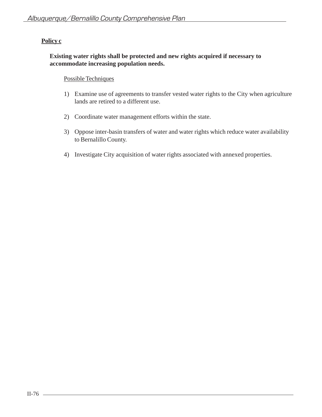## **Existing water rights shall be protected and new rights acquired if necessary to accommodate increasing population needs.**

- 1) Examine use of agreements to transfer vested water rights to the City when agriculture lands are retired to a different use.
- 2) Coordinate water management efforts within the state.
- 3) Oppose inter-basin transfers of water and water rights which reduce water availability to Bernalillo County.
- 4) Investigate City acquisition of water rights associated with annexed properties.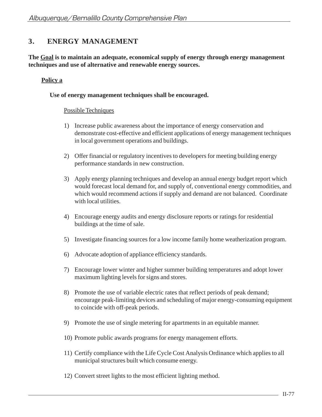# **3. ENERGY MANAGEMENT**

**The Goal is to maintain an adequate, economical supply of energy through energy management techniques and use of alternative and renewable energy sources.**

# **Policy a**

#### **Use of energy management techniques shall be encouraged.**

- 1) Increase public awareness about the importance of energy conservation and demonstrate cost-effective and efficient applications of energy management techniques in local government operations and buildings.
- 2) Offer financial or regulatory incentives to developers for meeting building energy performance standards in new construction.
- 3) Apply energy planning techniques and develop an annual energy budget report which would forecast local demand for, and supply of, conventional energy commodities, and which would recommend actions if supply and demand are not balanced. Coordinate with local utilities.
- 4) Encourage energy audits and energy disclosure reports or ratings for residential buildings at the time of sale.
- 5) Investigate financing sources for a low income family home weatherization program.
- 6) Advocate adoption of appliance efficiency standards.
- 7) Encourage lower winter and higher summer building temperatures and adopt lower maximum lighting levels for signs and stores.
- 8) Promote the use of variable electric rates that reflect periods of peak demand; encourage peak-limiting devices and scheduling of major energy-consuming equipment to coincide with off-peak periods.
- 9) Promote the use of single metering for apartments in an equitable manner.
- 10) Promote public awards programs for energy management efforts.
- 11) Certify compliance with the Life Cycle Cost Analysis Ordinance which applies to all municipal structures built which consume energy.
- 12) Convert street lights to the most efficient lighting method.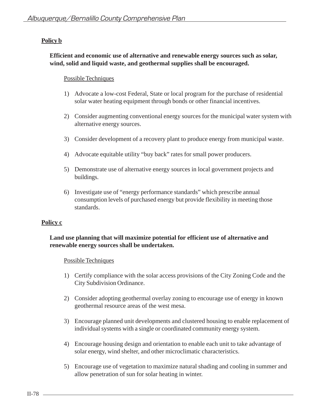# **Policy b**

## **Efficient and economic use of alternative and renewable energy sources such as solar, wind, solid and liquid waste, and geothermal supplies shall be encouraged.**

### Possible Techniques

- 1) Advocate a low-cost Federal, State or local program for the purchase of residential solar water heating equipment through bonds or other financial incentives.
- 2) Consider augmenting conventional energy sources for the municipal water system with alternative energy sources.
- 3) Consider development of a recovery plant to produce energy from municipal waste.
- 4) Advocate equitable utility "buy back" rates for small power producers.
- 5) Demonstrate use of alternative energy sources in local government projects and buildings.
- 6) Investigate use of "energy performance standards" which prescribe annual consumption levels of purchased energy but provide flexibility in meeting those standards.

## **Policy c**

## **Land use planning that will maximize potential for efficient use of alternative and renewable energy sources shall be undertaken.**

- 1) Certify compliance with the solar access provisions of the City Zoning Code and the City Subdivision Ordinance.
- 2) Consider adopting geothermal overlay zoning to encourage use of energy in known geothermal resource areas of the west mesa.
- 3) Encourage planned unit developments and clustered housing to enable replacement of individual systems with a single or coordinated community energy system.
- 4) Encourage housing design and orientation to enable each unit to take advantage of solar energy, wind shelter, and other microclimatic characteristics.
- 5) Encourage use of vegetation to maximize natural shading and cooling in summer and allow penetration of sun for solar heating in winter.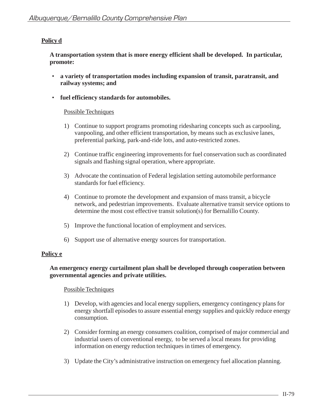# **Policy d**

**A transportation system that is more energy efficient shall be developed. In particular, promote:**

- **a variety of transportation modes including expansion of transit, paratransit, and railway systems; and**
- **fuel efficiency standards for automobiles.**

# Possible Techniques

- 1) Continue to support programs promoting ridesharing concepts such as carpooling, vanpooling, and other efficient transportation, by means such as exclusive lanes, preferential parking, park-and-ride lots, and auto-restricted zones.
- 2) Continue traffic engineering improvements for fuel conservation such as coordinated signals and flashing signal operation, where appropriate.
- 3) Advocate the continuation of Federal legislation setting automobile performance standards for fuel efficiency.
- 4) Continue to promote the development and expansion of mass transit, a bicycle network, and pedestrian improvements. Evaluate alternative transit service options to determine the most cost effective transit solution(s) for Bernalillo County.
- 5) Improve the functional location of employment and services.
- 6) Support use of alternative energy sources for transportation.

## **Policy e**

## **An emergency energy curtailment plan shall be developed through cooperation between governmental agencies and private utilities.**

- 1) Develop, with agencies and local energy suppliers, emergency contingency plans for energy shortfall episodes to assure essential energy supplies and quickly reduce energy consumption.
- 2) Consider forming an energy consumers coalition, comprised of major commercial and industrial users of conventional energy, to be served a local means for providing information on energy reduction techniques in times of emergency.
- 3) Update the City's administrative instruction on emergency fuel allocation planning.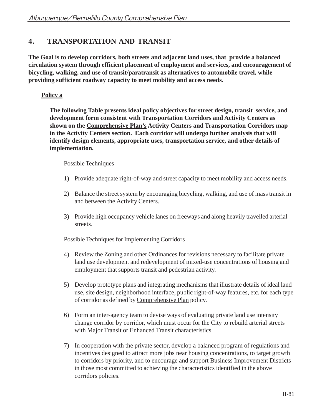# **4. TRANSPORTATION AND TRANSIT**

**The Goal is to develop corridors, both streets and adjacent land uses, that provide a balanced circulation system through efficient placement of employment and services, and encouragement of bicycling, walking, and use of transit/paratransit as alternatives to automobile travel, while providing sufficient roadway capacity to meet mobility and access needs.**

# **Policy a**

**The following Table presents ideal policy objectives for street design, transit service, and development form consistent with Transportation Corridors and Activity Centers as shown on the Comprehensive Plan's Activity Centers and Transportation Corridors map in the Activity Centers section. Each corridor will undergo further analysis that will identify design elements, appropriate uses, transportation service, and other details of implementation.**

# Possible Techniques

- 1) Provide adequate right-of-way and street capacity to meet mobility and access needs.
- 2) Balance the street system by encouraging bicycling, walking, and use of mass transit in and between the Activity Centers.
- 3) Provide high occupancy vehicle lanes on freeways and along heavily travelled arterial streets.

## Possible Techniques for Implementing Corridors

- 4) Review the Zoning and other Ordinances for revisions necessary to facilitate private land use development and redevelopment of mixed-use concentrations of housing and employment that supports transit and pedestrian activity.
- 5) Develop prototype plans and integrating mechanisms that illustrate details of ideal land use, site design, neighborhood interface, public right-of-way features, etc. for each type of corridor as defined by Comprehensive Plan policy.
- 6) Form an inter-agency team to devise ways of evaluating private land use intensity change corridor by corridor, which must occur for the City to rebuild arterial streets with Major Transit or Enhanced Transit characteristics.
- 7) In cooperation with the private sector, develop a balanced program of regulations and incentives designed to attract more jobs near housing concentrations, to target growth to corridors by priority, and to encourage and support Business Improvement Districts in those most committed to achieving the characteristics identified in the above corridors policies.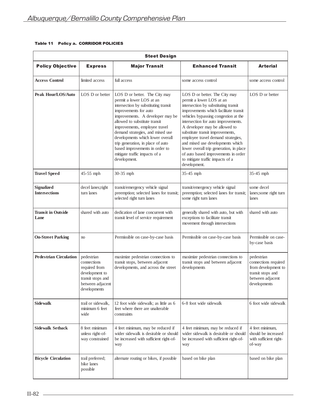| <b>Steet Design</b>                       |                                                                                                                       |                                                                                                                                                                                                                                                                                                                                                                                                                                  |                                                                                                                                                                                                                                                                                                                                                                                                                                                                                                                |                                                                                                                    |  |  |  |  |
|-------------------------------------------|-----------------------------------------------------------------------------------------------------------------------|----------------------------------------------------------------------------------------------------------------------------------------------------------------------------------------------------------------------------------------------------------------------------------------------------------------------------------------------------------------------------------------------------------------------------------|----------------------------------------------------------------------------------------------------------------------------------------------------------------------------------------------------------------------------------------------------------------------------------------------------------------------------------------------------------------------------------------------------------------------------------------------------------------------------------------------------------------|--------------------------------------------------------------------------------------------------------------------|--|--|--|--|
| <b>Policy Objective</b>                   | <b>Express</b>                                                                                                        | <b>Major Transit</b>                                                                                                                                                                                                                                                                                                                                                                                                             | <b>Enhanced Transit</b>                                                                                                                                                                                                                                                                                                                                                                                                                                                                                        | <b>Arterial</b>                                                                                                    |  |  |  |  |
| <b>Access Control</b>                     | limited access                                                                                                        | full access                                                                                                                                                                                                                                                                                                                                                                                                                      | some access control                                                                                                                                                                                                                                                                                                                                                                                                                                                                                            | some access control                                                                                                |  |  |  |  |
| Peak Hour/LOS/Auto                        | LOS D or better                                                                                                       | LOS D or better. The City may<br>permit a lower LOS at an<br>intersection by substituting transit<br>improvements for auto<br>improvements. A developer may be<br>allowed to substitute transit<br>improvements, employee travel<br>demand strategies, and mixed use<br>developments which lower overall<br>trip generation, in place of auto<br>based improvements in order to<br>mitigate traffic impacts of a<br>development. | LOS D or better. The City may<br>permit a lower LOS at an<br>intersection by substituting transit<br>improvements which facilitate transit<br>vehicles bypassing congestion at the<br>intersection for auto improvements.<br>A developer may be allowed to<br>substitute transit improvements,<br>employee travel demand strategies,<br>and mixed use developments which<br>lower overall trip generation, in place<br>of auto based improvements in order<br>to mitigate traffic impacts of a<br>development. | LOS D or better                                                                                                    |  |  |  |  |
| <b>Travel Speed</b>                       | 45-55 mph                                                                                                             | 30-35 mph                                                                                                                                                                                                                                                                                                                                                                                                                        | 35-45 mph                                                                                                                                                                                                                                                                                                                                                                                                                                                                                                      | 35-45 mph                                                                                                          |  |  |  |  |
| <b>Signalized</b><br><b>Intersections</b> | decel lanes; right<br>turn lanes                                                                                      | transit/emergency vehicle signal<br>preemption; selected lanes for transit;<br>selected right turn lanes                                                                                                                                                                                                                                                                                                                         | transit/emergency vehicle signal<br>preemption; selected lanes for transit;<br>some right turn lanes                                                                                                                                                                                                                                                                                                                                                                                                           | some decel<br>lanes;some right turn<br>lanes                                                                       |  |  |  |  |
| <b>Transit in Outside</b><br>Lane         | shared with auto                                                                                                      | dedication of lane concurrent with<br>transit level of service requirement                                                                                                                                                                                                                                                                                                                                                       | generally shared with auto, but with<br>exceptions to facilitate transit<br>movement through intersections                                                                                                                                                                                                                                                                                                                                                                                                     | shared with auto                                                                                                   |  |  |  |  |
| <b>On-Street Parking</b>                  | no                                                                                                                    | Permissible on case-by-case basis                                                                                                                                                                                                                                                                                                                                                                                                | Permissible on case-by-case basis                                                                                                                                                                                                                                                                                                                                                                                                                                                                              | Permissible on case-<br>by-case basis                                                                              |  |  |  |  |
| <b>Pedestrian Circulation</b>             | pedestrian<br>connections<br>required from<br>development to<br>transit stops and<br>between adjacent<br>developments | maximize pedestrian connections to<br>transit stops, between adjacent<br>developments, and across the street                                                                                                                                                                                                                                                                                                                     | maximize pedestrian connections to<br>transit stops and between adjacent<br>developments                                                                                                                                                                                                                                                                                                                                                                                                                       | pedestrian<br>connections required<br>from development to<br>transit stops and<br>between adjacent<br>developments |  |  |  |  |
| <b>Sidewalk</b>                           | trail or sidewalk,<br>minimum 6 feet<br>wide                                                                          | 12 foot wide sidewalk; as little as 6<br>feet where there are unalterable<br>constraints                                                                                                                                                                                                                                                                                                                                         | 6-8 foot wide sidewalk                                                                                                                                                                                                                                                                                                                                                                                                                                                                                         | 6 foot wide sidewalk                                                                                               |  |  |  |  |
| <b>Sidewalk Setback</b>                   | 8 feet minimum<br>unless right-of-<br>way constrained                                                                 | 4 feet minimum, may be reduced if<br>wider sidewalk is desirable or should<br>be increased with sufficient right-of-<br>way                                                                                                                                                                                                                                                                                                      | 4 feet minimum, may be reduced if<br>wider sidewalk is desirable or should<br>be increased with sufficient right-of-<br>way                                                                                                                                                                                                                                                                                                                                                                                    | 4 feet minimum,<br>should be increased<br>with sufficient right-<br>of-way                                         |  |  |  |  |
| <b>Bicycle Circulation</b>                | trail preferred;<br>bike lanes<br>possible                                                                            | alternate routing or bikes, if possible                                                                                                                                                                                                                                                                                                                                                                                          | based on bike plan                                                                                                                                                                                                                                                                                                                                                                                                                                                                                             | based on bike plan                                                                                                 |  |  |  |  |

#### Table 11 Policy a. CORRIDOR POLICIES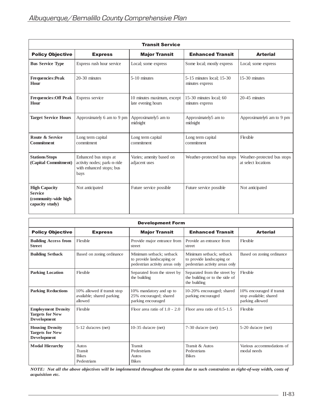| <b>Transit Service</b>                                                            |                                                                                          |                                                  |                                              |                                                    |  |  |  |
|-----------------------------------------------------------------------------------|------------------------------------------------------------------------------------------|--------------------------------------------------|----------------------------------------------|----------------------------------------------------|--|--|--|
| <b>Policy Objective</b>                                                           | <b>Express</b>                                                                           | <b>Major Transit</b>                             | <b>Enhanced Transit</b>                      | <b>Arterial</b>                                    |  |  |  |
| <b>Bus Service Type</b>                                                           | Express rush hour service                                                                | Local; some express                              | Some local; mostly express                   | Local; some express                                |  |  |  |
| <b>Frequencies:Peak</b><br>Hour                                                   | $20-30$ minutes                                                                          | 5-10 minutes                                     | 5-15 minutes local; 15-30<br>minutes express | $15-30$ minutes                                    |  |  |  |
| <b>Frequencies: Off Peak</b><br>Hour                                              | Express service                                                                          | 10 minutes maximum, except<br>late evening hours | 15-30 minutes local; $60$<br>minutes express | $20-45$ minutes                                    |  |  |  |
| <b>Target Service Hours</b>                                                       | Approximately 6 am to 9 pm                                                               | Approximately5 am to<br>midnight                 | Approximately5 am to<br>midnight             | Approximately6 am to 9 pm                          |  |  |  |
| Route & Service<br><b>Commitment</b>                                              | Long term capital<br>commitment                                                          | Long term capital<br>commitment                  | Long term capital<br>commitment              | Flexible                                           |  |  |  |
| <b>Stations/Stops</b><br>(Capital Commitment)                                     | Enhanced bus stops at<br>activity nodes; park-n-ride<br>with enhanced stops; bus<br>bays | Varies; amenity based on<br>adjacent uses        | Weather-protected bus stops                  | Weather-protected bus stops<br>at select locations |  |  |  |
| <b>High Capacity</b><br><b>Service</b><br>(community-wide high<br>capacity study) | Not anticipated                                                                          | Future service possible                          | Future service possible                      | Not anticipated                                    |  |  |  |

| <b>Development Form</b>                                                   |                                                                     |                                                                                         |                                                                                         |                                                                        |  |  |  |
|---------------------------------------------------------------------------|---------------------------------------------------------------------|-----------------------------------------------------------------------------------------|-----------------------------------------------------------------------------------------|------------------------------------------------------------------------|--|--|--|
| <b>Policy Objective</b>                                                   | <b>Express</b>                                                      | <b>Major Transit</b>                                                                    | <b>Enhanced Transit</b>                                                                 | <b>Arterial</b>                                                        |  |  |  |
| <b>Building Access from</b><br><b>Street</b>                              | Flexible                                                            | Provide major entrance from<br>street                                                   | Provide an entrance from<br>street                                                      | Flexible                                                               |  |  |  |
| <b>Building Setback</b>                                                   | Based on zoning ordinance                                           | Minimum setback: setback<br>to provide landscaping or<br>pedestrian activity areas only | Minimum setback: setback<br>to provide landscaping or<br>pedestrian activity areas only | Based on zoning ordinance                                              |  |  |  |
| <b>Parking Location</b>                                                   | Flexible                                                            | Separated from the street by<br>the building                                            | Separated from the street by<br>the building or to the side of<br>the building          | Flexible                                                               |  |  |  |
| <b>Parking Reductions</b>                                                 | 10% allowed if transit stop<br>available; shared parking<br>allowed | 10% mandatory and up to<br>25% encouraged; shared<br>parking encouraged                 | 10-20% encouraged; shared<br>parking encouraged                                         | 10% encouraged if transit<br>stop available; shared<br>parking allowed |  |  |  |
| <b>Employment Density</b><br><b>Targets for New</b><br><b>Development</b> | Flexible                                                            | Floor area ratio of $1.0 - 2.0$                                                         | Floor area ratio of $0.5-1.5$                                                           | Flexible                                                               |  |  |  |
| <b>Housing Density</b><br><b>Targets for New</b><br>Development           | $5-12$ du/acres (net)                                               | 10-35 $du/acre$ (net)                                                                   | $7-30$ du/acre (net)                                                                    | $5-20$ du/acre (net)                                                   |  |  |  |
| <b>Modal Hierarchy</b>                                                    | Autos<br><b>Transit</b><br><b>Bikes</b><br>Pedestrians              | <b>Transit</b><br>Pedestrians<br>Autos<br><b>Bikes</b>                                  | Transit & Autos<br>Pedestrians<br><b>Bikes</b>                                          | Various accommodations of<br>modal needs                               |  |  |  |

NOTE: Not all the above objectives will be implemented throughout the system due to such constraints as right-of-way width, costs of *acquisition etc.*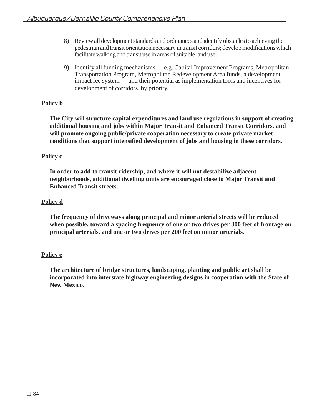- 8) Review all development standards and ordinances and identify obstacles to achieving the pedestrian and transit orientation necessary in transit corridors; develop modifications which facilitate walking and transit use in areas of suitable land use.
- 9) Identify all funding mechanisms e.g. Capital Improvement Programs, Metropolitan Transportation Program, Metropolitan Redevelopment Area funds, a development impact fee system — and their potential as implementation tools and incentives for development of corridors, by priority.

# **Policy b**

**The City will structure capital expenditures and land use regulations in support of creating additional housing and jobs within Major Transit and Enhanced Transit Corridors, and will promote ongoing public/private cooperation necessary to create private market conditions that support intensified development of jobs and housing in these corridors.**

# **Policy c**

**In order to add to transit ridership, and where it will not destabilize adjacent neighborhoods, additional dwelling units are encouraged close to Major Transit and Enhanced Transit streets.**

# **Policy d**

**The frequency of driveways along principal and minor arterial streets will be reduced when possible, toward a spacing frequency of one or two drives per 300 feet of frontage on principal arterials, and one or two drives per 200 feet on minor arterials.**

# **Policy e**

**The architecture of bridge structures, landscaping, planting and public art shall be incorporated into interstate highway engineering designs in cooperation with the State of New Mexico.**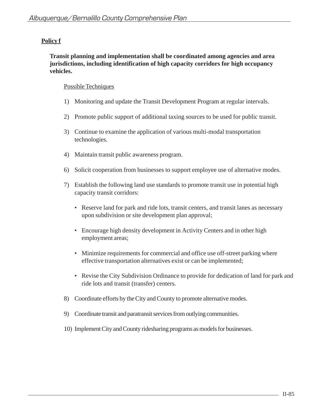# **Policy f**

**Transit planning and implementation shall be coordinated among agencies and area jurisdictions, including identification of high capacity corridors for high occupancy vehicles.**

- 1) Monitoring and update the Transit Development Program at regular intervals.
- 2) Promote public support of additional taxing sources to be used for public transit.
- 3) Continue to examine the application of various multi-modal transportation technologies.
- 4) Maintain transit public awareness program.
- 6) Solicit cooperation from businesses to support employee use of alternative modes.
- 7) Establish the following land use standards to promote transit use in potential high capacity transit corridors:
	- Reserve land for park and ride lots, transit centers, and transit lanes as necessary upon subdivision or site development plan approval;
	- Encourage high density development in Activity Centers and in other high employment areas;
	- Minimize requirements for commercial and office use off-street parking where effective transportation alternatives exist or can be implemented;
	- Revise the City Subdivision Ordinance to provide for dedication of land for park and ride lots and transit (transfer) centers.
- 8) Coordinate efforts by the City and County to promote alternative modes.
- 9) Coordinate transit and paratransit services from outlying communities.
- 10) Implement City and County ridesharing programs as models for businesses.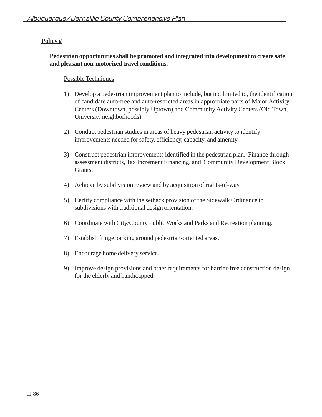# **Policy g**

## **Pedestrian opportunities shall be promoted and integrated into development to create safe and pleasant non-motorized travel conditions.**

- 1) Develop a pedestrian improvement plan to include, but not limited to, the identification of candidate auto-free and auto-restricted areas in appropriate parts of Major Activity Centers (Downtown, possibly Uptown) and Community Activity Centers (Old Town, University neighborhoods).
- 2) Conduct pedestrian studies in areas of heavy pedestrian activity to identify improvements needed for safety, efficiency, capacity, and amenity.
- 3) Construct pedestrian improvements identified in the pedestrian plan. Finance through assessment districts, Tax Increment Financing, and Community Development Block Grants.
- 4) Achieve by subdivision review and by acquisition of rights-of-way.
- 5) Certify compliance with the setback provision of the Sidewalk Ordinance in subdivisions with traditional design orientation.
- 6) Coordinate with City/County Public Works and Parks and Recreation planning.
- 7) Establish fringe parking around pedestrian-oriented areas.
- 8) Encourage home delivery service.
- 9) Improve design provisions and other requirements for barrier-free construction design for the elderly and handicapped.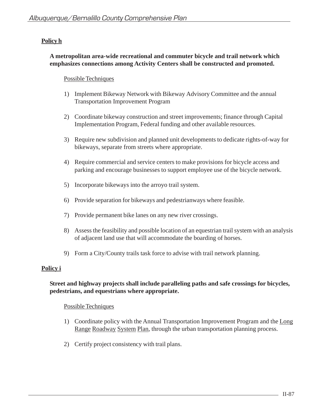# **Policy h**

## **A metropolitan area-wide recreational and commuter bicycle and trail network which emphasizes connections among Activity Centers shall be constructed and promoted.**

## Possible Techniques

- 1) Implement Bikeway Network with Bikeway Advisory Committee and the annual Transportation Improvement Program
- 2) Coordinate bikeway construction and street improvements; finance through Capital Implementation Program, Federal funding and other available resources.
- 3) Require new subdivision and planned unit developments to dedicate rights-of-way for bikeways, separate from streets where appropriate.
- 4) Require commercial and service centers to make provisions for bicycle access and parking and encourage businesses to support employee use of the bicycle network.
- 5) Incorporate bikeways into the arroyo trail system.
- 6) Provide separation for bikeways and pedestrianways where feasible.
- 7) Provide permanent bike lanes on any new river crossings.
- 8) Assess the feasibility and possible location of an equestrian trail system with an analysis of adjacent land use that will accommodate the boarding of horses.
- 9) Form a City/County trails task force to advise with trail network planning.

# **Policy i**

## **Street and highway projects shall include paralleling paths and safe crossings for bicycles, pedestrians, and equestrians where appropriate.**

- 1) Coordinate policy with the Annual Transportation Improvement Program and the Long Range Roadway System Plan, through the urban transportation planning process.
- 2) Certify project consistency with trail plans.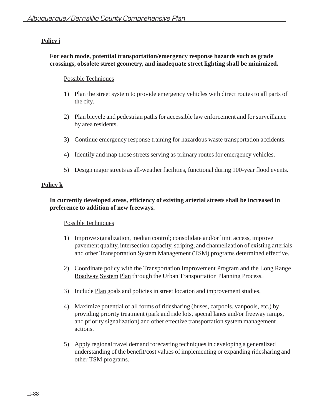# **Policy j**

### **For each mode, potential transportation/emergency response hazards such as grade crossings, obsolete street geometry, and inadequate street lighting shall be minimized.**

#### Possible Techniques

- 1) Plan the street system to provide emergency vehicles with direct routes to all parts of the city.
- 2) Plan bicycle and pedestrian paths for accessible law enforcement and for surveillance by area residents.
- 3) Continue emergency response training for hazardous waste transportation accidents.
- 4) Identify and map those streets serving as primary routes for emergency vehicles.
- 5) Design major streets as all-weather facilities, functional during 100-year flood events.

### **Policy k**

## **In currently developed areas, efficiency of existing arterial streets shall be increased in preference to addition of new freeways.**

- 1) Improve signalization, median control; consolidate and/or limit access, improve pavement quality, intersection capacity, striping, and channelization of existing arterials and other Transportation System Management (TSM) programs determined effective.
- 2) Coordinate policy with the Transportation Improvement Program and the Long Range Roadway System Plan through the Urban Transportation Planning Process.
- 3) Include Plan goals and policies in street location and improvement studies.
- 4) Maximize potential of all forms of ridesharing (buses, carpools, vanpools, etc.) by providing priority treatment (park and ride lots, special lanes and/or freeway ramps, and priority signalization) and other effective transportation system management actions.
- 5) Apply regional travel demand forecasting techniques in developing a generalized understanding of the benefit/cost values of implementing or expanding ridesharing and other TSM programs.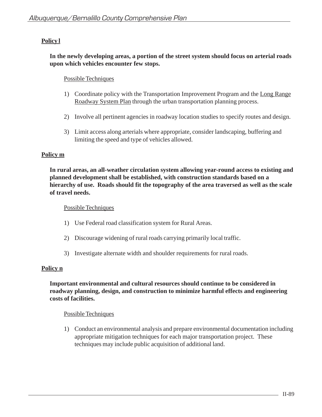# **Policy l**

## **In the newly developing areas, a portion of the street system should focus on arterial roads upon which vehicles encounter few stops.**

## Possible Techniques

- 1) Coordinate policy with the Transportation Improvement Program and the Long Range Roadway System Plan through the urban transportation planning process.
- 2) Involve all pertinent agencies in roadway location studies to specify routes and design.
- 3) Limit access along arterials where appropriate, consider landscaping, buffering and limiting the speed and type of vehicles allowed.

## **Policy m**

**In rural areas, an all-weather circulation system allowing year-round access to existing and planned development shall be established, with construction standards based on a hierarchy of use. Roads should fit the topography of the area traversed as well as the scale of travel needs.**

#### Possible Techniques

- 1) Use Federal road classification system for Rural Areas.
- 2) Discourage widening of rural roads carrying primarily local traffic.
- 3) Investigate alternate width and shoulder requirements for rural roads.

### **Policy n**

### **Important environmental and cultural resources should continue to be considered in roadway planning, design, and construction to minimize harmful effects and engineering costs of facilities.**

### Possible Techniques

1) Conduct an environmental analysis and prepare environmental documentation including appropriate mitigation techniques for each major transportation project. These techniques may include public acquisition of additional land.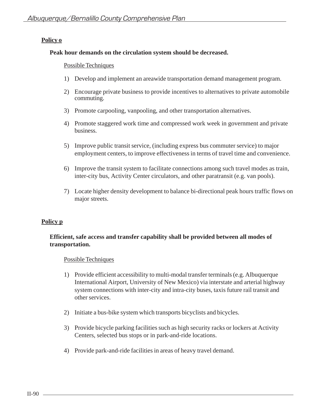## **Policy o**

#### **Peak hour demands on the circulation system should be decreased.**

#### Possible Techniques

- 1) Develop and implement an areawide transportation demand management program.
- 2) Encourage private business to provide incentives to alternatives to private automobile commuting.
- 3) Promote carpooling, vanpooling, and other transportation alternatives.
- 4) Promote staggered work time and compressed work week in government and private business.
- 5) Improve public transit service, (including express bus commuter service) to major employment centers, to improve effectiveness in terms of travel time and convenience.
- 6) Improve the transit system to facilitate connections among such travel modes as train, inter-city bus, Activity Center circulators, and other paratransit (e.g. van pools).
- 7) Locate higher density development to balance bi-directional peak hours traffic flows on major streets.

### **Policy p**

## **Efficient, safe access and transfer capability shall be provided between all modes of transportation.**

- 1) Provide efficient accessibility to multi-modal transfer terminals (e.g. Albuquerque International Airport, University of New Mexico) via interstate and arterial highway system connections with inter-city and intra-city buses, taxis future rail transit and other services.
- 2) Initiate a bus-bike system which transports bicyclists and bicycles.
- 3) Provide bicycle parking facilities such as high security racks or lockers at Activity Centers, selected bus stops or in park-and-ride locations.
- 4) Provide park-and-ride facilities in areas of heavy travel demand.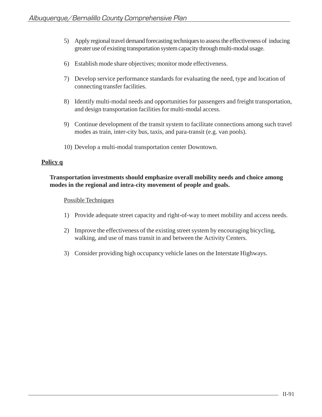- 5) Apply regional travel demand forecasting techniques to assess the effectiveness of inducing greater use of existing transportation system capacity through multi-modal usage.
- 6) Establish mode share objectives; monitor mode effectiveness.
- 7) Develop service performance standards for evaluating the need, type and location of connecting transfer facilities.
- 8) Identify multi-modal needs and opportunities for passengers and freight transportation, and design transportation facilities for multi-modal access.
- 9) Continue development of the transit system to facilitate connections among such travel modes as train, inter-city bus, taxis, and para-transit (e.g. van pools).
- 10) Develop a multi-modal transportation center Downtown.

### **Policy q**

# **Transportation investments should emphasize overall mobility needs and choice among modes in the regional and intra-city movement of people and goals.**

- 1) Provide adequate street capacity and right-of-way to meet mobility and access needs.
- 2) Improve the effectiveness of the existing street system by encouraging bicycling, walking, and use of mass transit in and between the Activity Centers.
- 3) Consider providing high occupancy vehicle lanes on the Interstate Highways.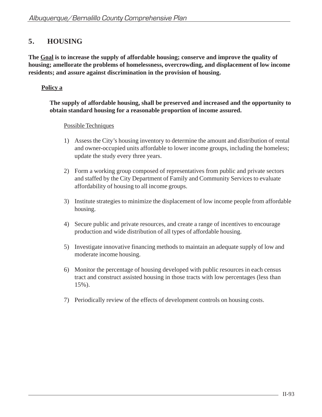# **5. HOUSING**

**The Goal is to increase the supply of affordable housing; conserve and improve the quality of housing; amellorate the problems of homelessness, overcrowding, and displacement of low income residents; and assure against discrimination in the provision of housing.**

# **Policy a**

## **The supply of affordable housing, shall be preserved and increased and the opportunity to obtain standard housing for a reasonable proportion of income assured.**

- 1) Assess the City's housing inventory to determine the amount and distribution of rental and owner-occupied units affordable to lower income groups, including the homeless; update the study every three years.
- 2) Form a working group composed of representatives from public and private sectors and staffed by the City Department of Family and Community Services to evaluate affordability of housing to all income groups.
- 3) Institute strategies to minimize the displacement of low income people from affordable housing.
- 4) Secure public and private resources, and create a range of incentives to encourage production and wide distribution of all types of affordable housing.
- 5) Investigate innovative financing methods to maintain an adequate supply of low and moderate income housing.
- 6) Monitor the percentage of housing developed with public resources in each census tract and construct assisted housing in those tracts with low percentages (less than 15%).
- 7) Periodically review of the effects of development controls on housing costs.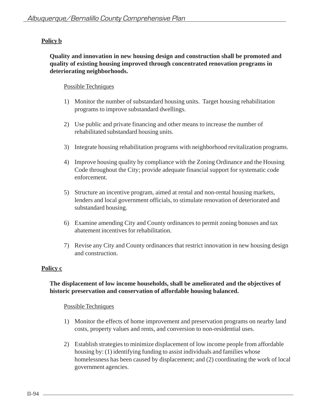# **Policy b**

## **Quality and innovation in new housing design and construction shall be promoted and quality of existing housing improved through concentrated renovation programs in deteriorating neighborhoods.**

### Possible Techniques

- 1) Monitor the number of substandard housing units. Target housing rehabilitation programs to improve substandard dwellings.
- 2) Use public and private financing and other means to increase the number of rehabilitated substandard housing units.
- 3) Integrate housing rehabilitation programs with neighborhood revitalization programs.
- 4) Improve housing quality by compliance with the Zoning Ordinance and the Housing Code throughout the City; provide adequate financial support for systematic code enforcement.
- 5) Structure an incentive program, aimed at rental and non-rental housing markets, lenders and local government officials, to stimulate renovation of deteriorated and substandard housing.
- 6) Examine amending City and County ordinances to permit zoning bonuses and tax abatement incentives for rehabilitation.
- 7) Revise any City and County ordinances that restrict innovation in new housing design and construction.

### **Policy c**

## **The displacement of low income households, shall be ameliorated and the objectives of historic preservation and conservation of affordable housing balanced.**

- 1) Monitor the effects of home improvement and preservation programs on nearby land costs, property values and rents, and conversion to non-residential uses.
- 2) Establish strategies to minimize displacement of low income people from affordable housing by: (1) identifying funding to assist individuals and families whose homelessness has been caused by displacement; and (2) coordinating the work of local government agencies.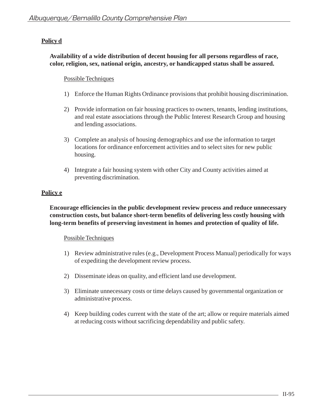# **Policy d**

## **Availability of a wide distribution of decent housing for all persons regardless of race, color, religion, sex, national origin, ancestry, or handicapped status shall be assured.**

## Possible Techniques

- 1) Enforce the Human Rights Ordinance provisions that prohibit housing discrimination.
- 2) Provide information on fair housing practices to owners, tenants, lending institutions, and real estate associations through the Public Interest Research Group and housing and lending associations.
- 3) Complete an analysis of housing demographics and use the information to target locations for ordinance enforcement activities and to select sites for new public housing.
- 4) Integrate a fair housing system with other City and County activities aimed at preventing discrimination.

# **Policy e**

**Encourage efficiencies in the public development review process and reduce unnecessary construction costs, but balance short-term benefits of delivering less costly housing with long-term benefits of preserving investment in homes and protection of quality of life.**

- 1) Review administrative rules (e.g., Development Process Manual) periodically for ways of expediting the development review process.
- 2) Disseminate ideas on quality, and efficient land use development.
- 3) Eliminate unnecessary costs or time delays caused by governmental organization or administrative process.
- 4) Keep building codes current with the state of the art; allow or require materials aimed at reducing costs without sacrificing dependability and public safety.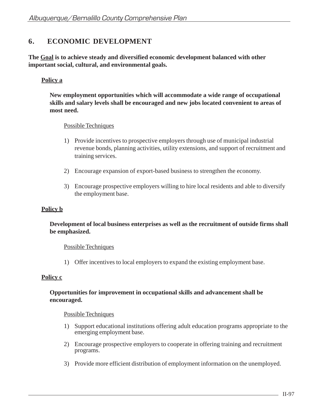# **6. ECONOMIC DEVELOPMENT**

**The Goal is to achieve steady and diversified economic development balanced with other important social, cultural, and environmental goals.**

## **Policy a**

**New employment opportunities which will accommodate a wide range of occupational skills and salary levels shall be encouraged and new jobs located convenient to areas of most need.**

### Possible Techniques

- 1) Provide incentives to prospective employers through use of municipal industrial revenue bonds, planning activities, utility extensions, and support of recruitment and training services.
- 2) Encourage expansion of export-based business to strengthen the economy.
- 3) Encourage prospective employers willing to hire local residents and able to diversify the employment base.

#### **Policy b**

### **Development of local business enterprises as well as the recruitment of outside firms shall be emphasized.**

#### Possible Techniques

1) Offer incentives to local employers to expand the existing employment base.

#### **Policy c**

### **Opportunities for improvement in occupational skills and advancement shall be encouraged.**

- 1) Support educational institutions offering adult education programs appropriate to the emerging employment base.
- 2) Encourage prospective employers to cooperate in offering training and recruitment programs.
- 3) Provide more efficient distribution of employment information on the unemployed.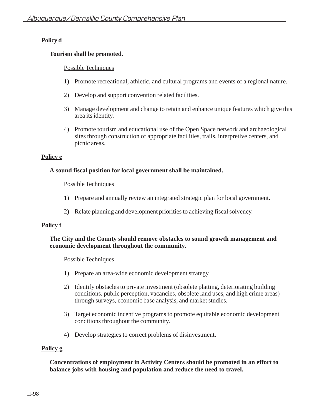# **Policy d**

## **Tourism shall be promoted.**

## Possible Techniques

- 1) Promote recreational, athletic, and cultural programs and events of a regional nature.
- 2) Develop and support convention related facilities.
- 3) Manage development and change to retain and enhance unique features which give this area its identity.
- 4) Promote tourism and educational use of the Open Space network and archaeological sites through construction of appropriate facilities, trails, interpretive centers, and picnic areas.

## **Policy e**

## **A sound fiscal position for local government shall be maintained.**

### Possible Techniques

- 1) Prepare and annually review an integrated strategic plan for local government.
- 2) Relate planning and development priorities to achieving fiscal solvency.

# **Policy f**

### **The City and the County should remove obstacles to sound growth management and economic development throughout the community.**

### Possible Techniques

- 1) Prepare an area-wide economic development strategy.
- 2) Identify obstacles to private investment (obsolete platting, deteriorating building conditions, public perception, vacancies, obsolete land uses, and high crime areas) through surveys, economic base analysis, and market studies.
- 3) Target economic incentive programs to promote equitable economic development conditions throughout the community.
- 4) Develop strategies to correct problems of disinvestment.

### **Policy g**

**Concentrations of employment in Activity Centers should be promoted in an effort to balance jobs with housing and population and reduce the need to travel.**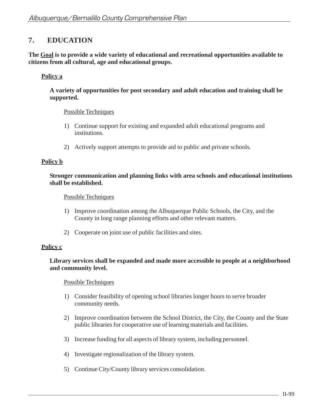# **7. EDUCATION**

**The Goal is to provide a wide variety of educational and recreational opportunities available to citizens from all cultural, age and educational groups.**

## **Policy a**

**A variety of opportunities for post secondary and adult education and training shall be supported.**

#### Possible Techniques

- 1) Continue support for existing and expanded adult educational programs and institutions.
- 2) Actively support attempts to provide aid to public and private schools.

#### **Policy b**

**Stronger communication and planning links with area schools and educational institutions shall be established.**

#### Possible Techniques

- 1) Improve coordination among the Albuquerque Public Schools, the City, and the County in long range planning efforts and other relevant matters.
- 2) Cooperate on joint use of public facilities and sites.

### **Policy c**

#### **Library services shall be expanded and made more accessible to people at a neighborhood and community level.**

- 1) Consider feasibility of opening school libraries longer hours to serve broader community needs.
- 2) Improve coordination between the School District, the City, the County and the State public libraries for cooperative use of learning materials and facilities.
- 3) Increase funding for all aspects of library system, including personnel.
- 4) Investigate regionalization of the library system.
- 5) Continue City/County library services consolidation.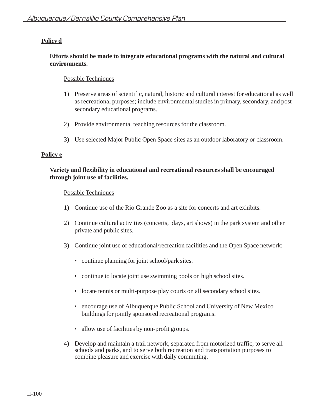# **Policy d**

## **Efforts should be made to integrate educational programs with the natural and cultural environments.**

## Possible Techniques

- 1) Preserve areas of scientific, natural, historic and cultural interest for educational as well as recreational purposes; include environmental studies in primary, secondary, and post secondary educational programs.
- 2) Provide environmental teaching resources for the classroom.
- 3) Use selected Major Public Open Space sites as an outdoor laboratory or classroom.

## **Policy e**

## **Variety and flexibility in educational and recreational resources shall be encouraged through joint use of facilities.**

- 1) Continue use of the Rio Grande Zoo as a site for concerts and art exhibits.
- 2) Continue cultural activities (concerts, plays, art shows) in the park system and other private and public sites.
- 3) Continue joint use of educational/recreation facilities and the Open Space network:
	- continue planning for joint school/park sites.
	- continue to locate joint use swimming pools on high school sites.
	- locate tennis or multi-purpose play courts on all secondary school sites.
	- encourage use of Albuquerque Public School and University of New Mexico buildings for jointly sponsored recreational programs.
	- allow use of facilities by non-profit groups.
- 4) Develop and maintain a trail network, separated from motorized traffic, to serve all schools and parks, and to serve both recreation and transportation purposes to combine pleasure and exercise with daily commuting.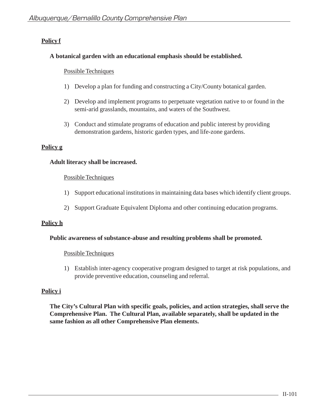# **Policy f**

## **A botanical garden with an educational emphasis should be established.**

### Possible Techniques

- 1) Develop a plan for funding and constructing a City/County botanical garden.
- 2) Develop and implement programs to perpetuate vegetation native to or found in the semi-arid grasslands, mountains, and waters of the Southwest.
- 3) Conduct and stimulate programs of education and public interest by providing demonstration gardens, historic garden types, and life-zone gardens.

## **Policy g**

### **Adult literacy shall be increased.**

#### Possible Techniques

- 1) Support educational institutions in maintaining data bases which identify client groups.
- 2) Support Graduate Equivalent Diploma and other continuing education programs.

### **Policy h**

### **Public awareness of substance-abuse and resulting problems shall be promoted.**

### Possible Techniques

1) Establish inter-agency cooperative program designed to target at risk populations, and provide preventive education, counseling and referral.

### **Policy i**

**The City's Cultural Plan with specific goals, policies, and action strategies, shall serve the Comprehensive Plan. The Cultural Plan, available separately, shall be updated in the same fashion as all other Comprehensive Plan elements.**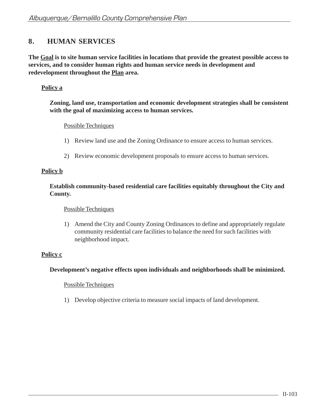# **8. HUMAN SERVICES**

**The Goal is to site human service facilities in locations that provide the greatest possible access to services, and to consider human rights and human service needs in development and redevelopment throughout the Plan area.**

# **Policy a**

### **Zoning, land use, transportation and economic development strategies shall be consistent with the goal of maximizing access to human services.**

### Possible Techniques

- 1) Review land use and the Zoning Ordinance to ensure access to human services.
- 2) Review economic development proposals to ensure access to human services.

## **Policy b**

## **Establish community-based residential care facilities equitably throughout the City and County.**

#### Possible Techniques

1) Amend the City and County Zoning Ordinances to define and appropriately regulate community residential care facilities to balance the need for such facilities with neighborhood impact.

### **Policy c**

### **Development's negative effects upon individuals and neighborhoods shall be minimized.**

### Possible Techniques

1) Develop objective criteria to measure social impacts of land development.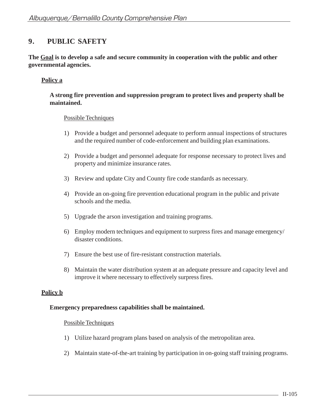# **9. PUBLIC SAFETY**

**The Goal is to develop a safe and secure community in cooperation with the public and other governmental agencies.**

## **Policy a**

## **A strong fire prevention and suppression program to protect lives and property shall be maintained.**

#### Possible Techniques

- 1) Provide a budget and personnel adequate to perform annual inspections of structures and the required number of code-enforcement and building plan examinations.
- 2) Provide a budget and personnel adequate for response necessary to protect lives and property and minimize insurance rates.
- 3) Review and update City and County fire code standards as necessary.
- 4) Provide an on-going fire prevention educational program in the public and private schools and the media.
- 5) Upgrade the arson investigation and training programs.
- 6) Employ modern techniques and equipment to surpress fires and manage emergency/ disaster conditions.
- 7) Ensure the best use of fire-resistant construction materials.
- 8) Maintain the water distribution system at an adequate pressure and capacity level and improve it where necessary to effectively surpress fires.

### **Policy b**

#### **Emergency preparedness capabilities shall be maintained.**

- 1) Utilize hazard program plans based on analysis of the metropolitan area.
- 2) Maintain state-of-the-art training by participation in on-going staff training programs.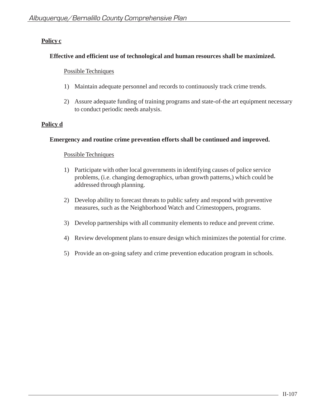# **Policy c**

## **Effective and efficient use of technological and human resources shall be maximized.**

## Possible Techniques

- 1) Maintain adequate personnel and records to continuously track crime trends.
- 2) Assure adequate funding of training programs and state-of-the art equipment necessary to conduct periodic needs analysis.

# **Policy d**

## **Emergency and routine crime prevention efforts shall be continued and improved.**

- 1) Participate with other local governments in identifying causes of police service problems, (i.e. changing demographics, urban growth patterns,) which could be addressed through planning.
- 2) Develop ability to forecast threats to public safety and respond with preventive measures, such as the Neighborhood Watch and Crimestoppers, programs.
- 3) Develop partnerships with all community elements to reduce and prevent crime.
- 4) Review development plans to ensure design which minimizes the potential for crime.
- 5) Provide an on-going safety and crime prevention education program in schools.